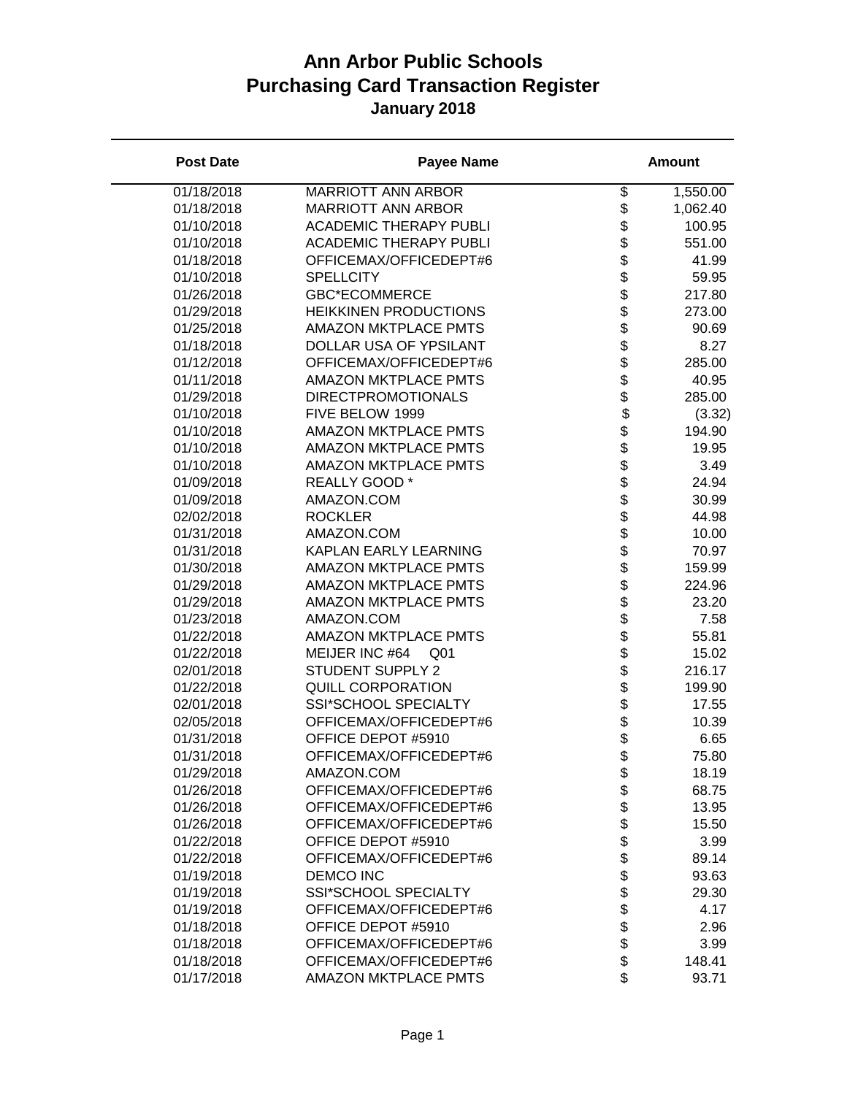| <b>Post Date</b> | <b>Payee Name</b>                 |                                | <b>Amount</b> |
|------------------|-----------------------------------|--------------------------------|---------------|
| 01/18/2018       | <b>MARRIOTT ANN ARBOR</b>         | \$                             | 1,550.00      |
| 01/18/2018       | <b>MARRIOTT ANN ARBOR</b>         | \$                             | 1,062.40      |
| 01/10/2018       | <b>ACADEMIC THERAPY PUBLI</b>     | \$                             | 100.95        |
| 01/10/2018       | <b>ACADEMIC THERAPY PUBLI</b>     | \$                             | 551.00        |
| 01/18/2018       | OFFICEMAX/OFFICEDEPT#6            | \$                             | 41.99         |
| 01/10/2018       | <b>SPELLCITY</b>                  | \$                             | 59.95         |
| 01/26/2018       | <b>GBC*ECOMMERCE</b>              |                                | 217.80        |
| 01/29/2018       | <b>HEIKKINEN PRODUCTIONS</b>      | \$\$\$\$\$\$\$\$\$\$\$\$\$\$\$ | 273.00        |
| 01/25/2018       | <b>AMAZON MKTPLACE PMTS</b>       |                                | 90.69         |
| 01/18/2018       | DOLLAR USA OF YPSILANT            |                                | 8.27          |
| 01/12/2018       | OFFICEMAX/OFFICEDEPT#6            |                                | 285.00        |
| 01/11/2018       | <b>AMAZON MKTPLACE PMTS</b>       |                                | 40.95         |
| 01/29/2018       | <b>DIRECTPROMOTIONALS</b>         |                                | 285.00        |
| 01/10/2018       | FIVE BELOW 1999                   |                                | (3.32)        |
| 01/10/2018       | <b>AMAZON MKTPLACE PMTS</b>       |                                | 194.90        |
| 01/10/2018       | <b>AMAZON MKTPLACE PMTS</b>       |                                | 19.95         |
| 01/10/2018       | <b>AMAZON MKTPLACE PMTS</b>       |                                | 3.49          |
| 01/09/2018       | REALLY GOOD *                     |                                | 24.94         |
| 01/09/2018       | AMAZON.COM                        |                                | 30.99         |
| 02/02/2018       | <b>ROCKLER</b>                    |                                | 44.98         |
| 01/31/2018       | AMAZON.COM                        |                                | 10.00         |
| 01/31/2018       | KAPLAN EARLY LEARNING             |                                | 70.97         |
| 01/30/2018       | <b>AMAZON MKTPLACE PMTS</b>       | <b>金まままままままままま</b>             | 159.99        |
| 01/29/2018       | <b>AMAZON MKTPLACE PMTS</b>       |                                | 224.96        |
| 01/29/2018       | <b>AMAZON MKTPLACE PMTS</b>       |                                | 23.20         |
| 01/23/2018       | AMAZON.COM                        |                                | 7.58          |
| 01/22/2018       | <b>AMAZON MKTPLACE PMTS</b>       |                                | 55.81         |
| 01/22/2018       | MEIJER INC #64<br>Q <sub>01</sub> |                                | 15.02         |
| 02/01/2018       | <b>STUDENT SUPPLY 2</b>           |                                | 216.17        |
| 01/22/2018       | <b>QUILL CORPORATION</b>          |                                | 199.90        |
| 02/01/2018       | SSI*SCHOOL SPECIALTY              |                                | 17.55         |
| 02/05/2018       | OFFICEMAX/OFFICEDEPT#6            |                                | 10.39         |
| 01/31/2018       | OFFICE DEPOT #5910                |                                | 6.65          |
| 01/31/2018       | OFFICEMAX/OFFICEDEPT#6            | \$                             | 75.80         |
| 01/29/2018       | AMAZON.COM                        | \$                             | 18.19         |
| 01/26/2018       | OFFICEMAX/OFFICEDEPT#6            | \$                             | 68.75         |
| 01/26/2018       | OFFICEMAX/OFFICEDEPT#6            | \$                             | 13.95         |
| 01/26/2018       | OFFICEMAX/OFFICEDEPT#6            | \$                             | 15.50         |
| 01/22/2018       | OFFICE DEPOT #5910                |                                | 3.99          |
| 01/22/2018       | OFFICEMAX/OFFICEDEPT#6            |                                | 89.14         |
| 01/19/2018       | <b>DEMCO INC</b>                  |                                | 93.63         |
| 01/19/2018       | SSI*SCHOOL SPECIALTY              | <b>8888888</b>                 | 29.30         |
| 01/19/2018       | OFFICEMAX/OFFICEDEPT#6            |                                | 4.17          |
| 01/18/2018       | OFFICE DEPOT #5910                |                                | 2.96          |
| 01/18/2018       | OFFICEMAX/OFFICEDEPT#6            |                                | 3.99          |
| 01/18/2018       | OFFICEMAX/OFFICEDEPT#6            |                                | 148.41        |
| 01/17/2018       | <b>AMAZON MKTPLACE PMTS</b>       | \$                             | 93.71         |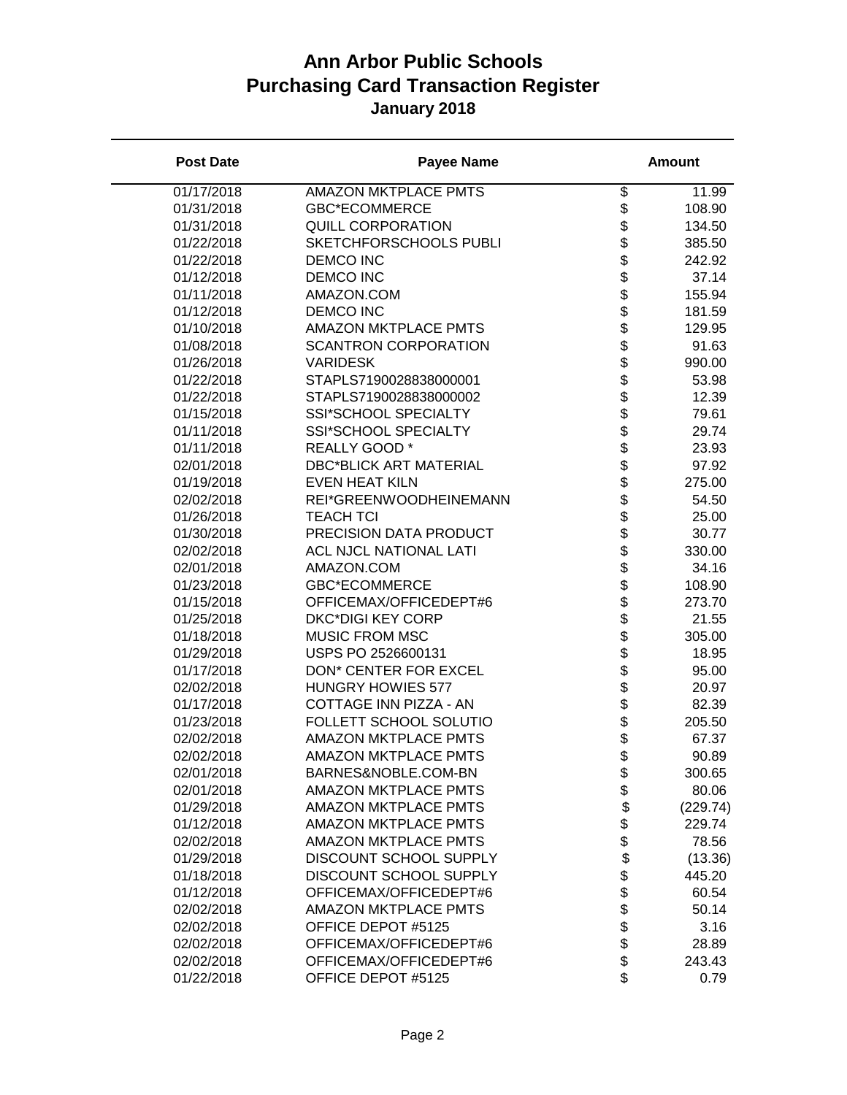| <b>Post Date</b> | <b>Payee Name</b>             |                      | <b>Amount</b> |
|------------------|-------------------------------|----------------------|---------------|
| 01/17/2018       | <b>AMAZON MKTPLACE PMTS</b>   | \$                   | 11.99         |
| 01/31/2018       | <b>GBC*ECOMMERCE</b>          | \$                   | 108.90        |
| 01/31/2018       | <b>QUILL CORPORATION</b>      | \$                   | 134.50        |
| 01/22/2018       | SKETCHFORSCHOOLS PUBLI        | \$                   | 385.50        |
| 01/22/2018       | <b>DEMCO INC</b>              | \$                   | 242.92        |
| 01/12/2018       | <b>DEMCO INC</b>              |                      | 37.14         |
| 01/11/2018       | AMAZON.COM                    |                      | 155.94        |
| 01/12/2018       | <b>DEMCO INC</b>              |                      | 181.59        |
| 01/10/2018       | <b>AMAZON MKTPLACE PMTS</b>   |                      | 129.95        |
| 01/08/2018       | <b>SCANTRON CORPORATION</b>   |                      | 91.63         |
| 01/26/2018       | <b>VARIDESK</b>               |                      | 990.00        |
| 01/22/2018       | STAPLS7190028838000001        |                      | 53.98         |
| 01/22/2018       | STAPLS7190028838000002        |                      | 12.39         |
| 01/15/2018       | SSI*SCHOOL SPECIALTY          |                      | 79.61         |
| 01/11/2018       | SSI*SCHOOL SPECIALTY          | <b>金まままままままままま</b>   | 29.74         |
| 01/11/2018       | REALLY GOOD *                 |                      | 23.93         |
| 02/01/2018       | <b>DBC*BLICK ART MATERIAL</b> |                      | 97.92         |
| 01/19/2018       | <b>EVEN HEAT KILN</b>         |                      | 275.00        |
| 02/02/2018       | REI*GREENWOODHEINEMANN        | \$                   | 54.50         |
| 01/26/2018       | <b>TEACH TCI</b>              |                      | 25.00         |
| 01/30/2018       | PRECISION DATA PRODUCT        |                      | 30.77         |
| 02/02/2018       | <b>ACL NJCL NATIONAL LATI</b> |                      | 330.00        |
| 02/01/2018       | AMAZON.COM                    |                      | 34.16         |
| 01/23/2018       | <b>GBC*ECOMMERCE</b>          |                      | 108.90        |
| 01/15/2018       | OFFICEMAX/OFFICEDEPT#6        |                      | 273.70        |
| 01/25/2018       | <b>DKC*DIGI KEY CORP</b>      |                      | 21.55         |
| 01/18/2018       | <b>MUSIC FROM MSC</b>         |                      | 305.00        |
| 01/29/2018       | USPS PO 2526600131            |                      | 18.95         |
| 01/17/2018       | DON* CENTER FOR EXCEL         |                      | 95.00         |
| 02/02/2018       | <b>HUNGRY HOWIES 577</b>      |                      | 20.97         |
| 01/17/2018       | COTTAGE INN PIZZA - AN        |                      | 82.39         |
| 01/23/2018       | FOLLETT SCHOOL SOLUTIO        |                      | 205.50        |
| 02/02/2018       | <b>AMAZON MKTPLACE PMTS</b>   |                      | 67.37         |
| 02/02/2018       | <b>AMAZON MKTPLACE PMTS</b>   | \$                   | 90.89         |
| 02/01/2018       | BARNES&NOBLE.COM-BN           | \$                   | 300.65        |
| 02/01/2018       | <b>AMAZON MKTPLACE PMTS</b>   | \$                   | 80.06         |
| 01/29/2018       | <b>AMAZON MKTPLACE PMTS</b>   | \$                   | (229.74)      |
| 01/12/2018       | <b>AMAZON MKTPLACE PMTS</b>   |                      | 229.74        |
| 02/02/2018       | <b>AMAZON MKTPLACE PMTS</b>   |                      | 78.56         |
| 01/29/2018       | DISCOUNT SCHOOL SUPPLY        |                      | (13.36)       |
| 01/18/2018       | DISCOUNT SCHOOL SUPPLY        |                      | 445.20        |
| 01/12/2018       | OFFICEMAX/OFFICEDEPT#6        |                      | 60.54         |
| 02/02/2018       | <b>AMAZON MKTPLACE PMTS</b>   | \$\$\$\$\$\$\$\$\$\$ | 50.14         |
| 02/02/2018       | OFFICE DEPOT #5125            |                      | 3.16          |
| 02/02/2018       | OFFICEMAX/OFFICEDEPT#6        |                      | 28.89         |
| 02/02/2018       | OFFICEMAX/OFFICEDEPT#6        |                      | 243.43        |
| 01/22/2018       | OFFICE DEPOT #5125            | \$                   | 0.79          |
|                  |                               |                      |               |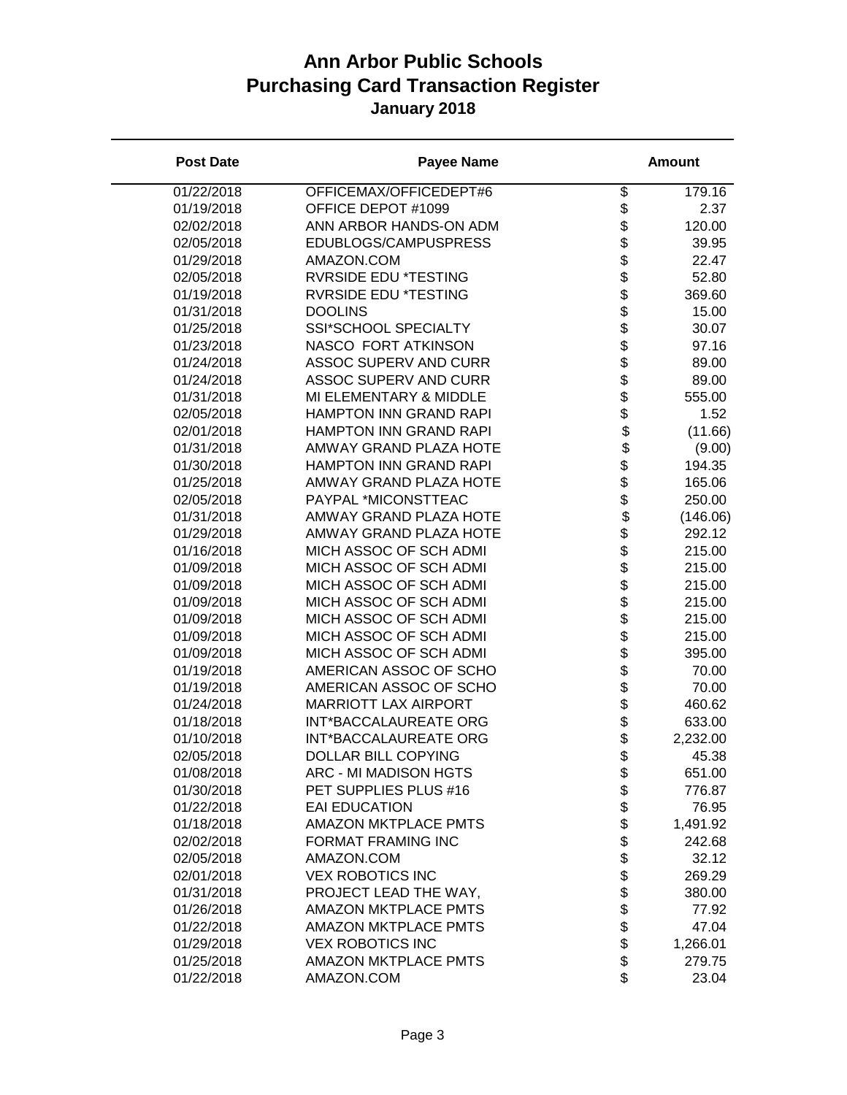| <b>Post Date</b> | <b>Payee Name</b>             |                            | <b>Amount</b> |
|------------------|-------------------------------|----------------------------|---------------|
| 01/22/2018       | OFFICEMAX/OFFICEDEPT#6        | \$                         | 179.16        |
| 01/19/2018       | OFFICE DEPOT #1099            | \$                         | 2.37          |
| 02/02/2018       | ANN ARBOR HANDS-ON ADM        | \$                         | 120.00        |
| 02/05/2018       | EDUBLOGS/CAMPUSPRESS          | \$                         | 39.95         |
| 01/29/2018       | AMAZON.COM                    | \$                         | 22.47         |
| 02/05/2018       | <b>RVRSIDE EDU *TESTING</b>   |                            | 52.80         |
| 01/19/2018       | <b>RVRSIDE EDU *TESTING</b>   | \$<br>\$                   | 369.60        |
| 01/31/2018       | <b>DOOLINS</b>                |                            | 15.00         |
| 01/25/2018       | SSI*SCHOOL SPECIALTY          |                            | 30.07         |
| 01/23/2018       | NASCO FORT ATKINSON           |                            | 97.16         |
| 01/24/2018       | <b>ASSOC SUPERV AND CURR</b>  |                            | 89.00         |
| 01/24/2018       | <b>ASSOC SUPERV AND CURR</b>  |                            | 89.00         |
| 01/31/2018       | MI ELEMENTARY & MIDDLE        |                            | 555.00        |
| 02/05/2018       | HAMPTON INN GRAND RAPI        |                            | 1.52          |
| 02/01/2018       | HAMPTON INN GRAND RAPI        |                            | (11.66)       |
| 01/31/2018       | <b>AMWAY GRAND PLAZA HOTE</b> |                            | (9.00)        |
| 01/30/2018       | HAMPTON INN GRAND RAPI        |                            | 194.35        |
| 01/25/2018       | <b>AMWAY GRAND PLAZA HOTE</b> |                            | 165.06        |
| 02/05/2018       | PAYPAL *MICONSTTEAC           | \$\$\$\$\$\$\$\$\$\$\$\$\$ | 250.00        |
| 01/31/2018       | AMWAY GRAND PLAZA HOTE        | \$                         | (146.06)      |
| 01/29/2018       | AMWAY GRAND PLAZA HOTE        | \$                         | 292.12        |
| 01/16/2018       | MICH ASSOC OF SCH ADMI        |                            | 215.00        |
| 01/09/2018       | MICH ASSOC OF SCH ADMI        | <b>88888888888</b>         | 215.00        |
| 01/09/2018       | MICH ASSOC OF SCH ADMI        |                            | 215.00        |
| 01/09/2018       | MICH ASSOC OF SCH ADMI        |                            | 215.00        |
| 01/09/2018       | MICH ASSOC OF SCH ADMI        |                            | 215.00        |
| 01/09/2018       | MICH ASSOC OF SCH ADMI        |                            | 215.00        |
| 01/09/2018       | MICH ASSOC OF SCH ADMI        |                            | 395.00        |
| 01/19/2018       | AMERICAN ASSOC OF SCHO        |                            | 70.00         |
| 01/19/2018       | AMERICAN ASSOC OF SCHO        |                            | 70.00         |
| 01/24/2018       | <b>MARRIOTT LAX AIRPORT</b>   |                            | 460.62        |
| 01/18/2018       | INT*BACCALAUREATE ORG         |                            | 633.00        |
| 01/10/2018       | INT*BACCALAUREATE ORG         |                            | 2,232.00      |
| 02/05/2018       | DOLLAR BILL COPYING           | \$                         | 45.38         |
| 01/08/2018       | <b>ARC - MI MADISON HGTS</b>  | \$                         | 651.00        |
| 01/30/2018       | PET SUPPLIES PLUS #16         | \$                         | 776.87        |
| 01/22/2018       | <b>EAI EDUCATION</b>          | \$                         | 76.95         |
| 01/18/2018       | <b>AMAZON MKTPLACE PMTS</b>   | \$                         | 1,491.92      |
| 02/02/2018       | <b>FORMAT FRAMING INC</b>     | \$                         | 242.68        |
| 02/05/2018       | AMAZON.COM                    | \$                         | 32.12         |
| 02/01/2018       | <b>VEX ROBOTICS INC</b>       |                            | 269.29        |
| 01/31/2018       | PROJECT LEAD THE WAY,         | \$\$\$\$\$\$               | 380.00        |
| 01/26/2018       | <b>AMAZON MKTPLACE PMTS</b>   |                            | 77.92         |
| 01/22/2018       | <b>AMAZON MKTPLACE PMTS</b>   |                            | 47.04         |
| 01/29/2018       | <b>VEX ROBOTICS INC</b>       |                            | 1,266.01      |
| 01/25/2018       | <b>AMAZON MKTPLACE PMTS</b>   |                            | 279.75        |
| 01/22/2018       | AMAZON.COM                    | \$                         | 23.04         |
|                  |                               |                            |               |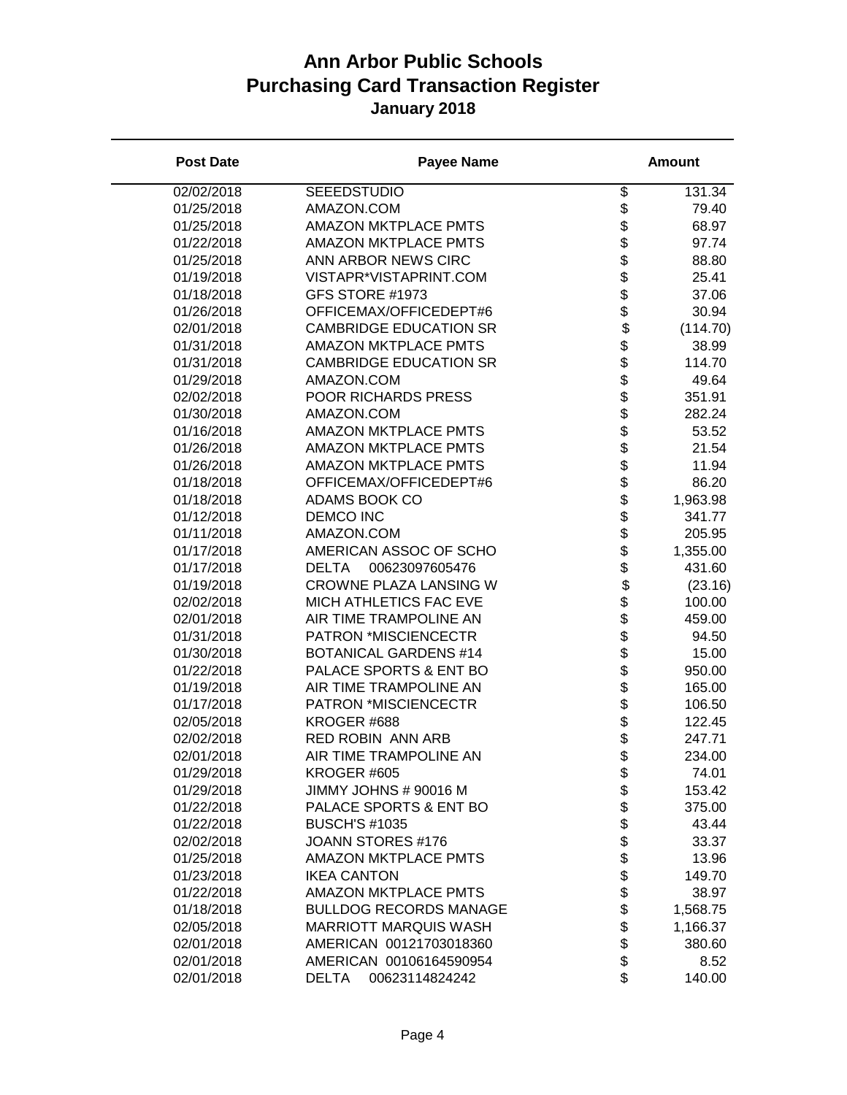| <b>Post Date</b> | <b>Payee Name</b>              |                                      | <b>Amount</b> |
|------------------|--------------------------------|--------------------------------------|---------------|
| 02/02/2018       | <b>SEEEDSTUDIO</b>             | \$                                   | 131.34        |
| 01/25/2018       | AMAZON.COM                     | \$                                   | 79.40         |
| 01/25/2018       | <b>AMAZON MKTPLACE PMTS</b>    | \$                                   | 68.97         |
| 01/22/2018       | <b>AMAZON MKTPLACE PMTS</b>    |                                      | 97.74         |
| 01/25/2018       | ANN ARBOR NEWS CIRC            |                                      | 88.80         |
| 01/19/2018       | VISTAPR*VISTAPRINT.COM         |                                      | 25.41         |
| 01/18/2018       | GFS STORE #1973                |                                      | 37.06         |
| 01/26/2018       | OFFICEMAX/OFFICEDEPT#6         |                                      | 30.94         |
| 02/01/2018       | <b>CAMBRIDGE EDUCATION SR</b>  |                                      | (114.70)      |
| 01/31/2018       | <b>AMAZON MKTPLACE PMTS</b>    |                                      | 38.99         |
| 01/31/2018       | <b>CAMBRIDGE EDUCATION SR</b>  |                                      | 114.70        |
| 01/29/2018       | AMAZON.COM                     |                                      | 49.64         |
| 02/02/2018       | POOR RICHARDS PRESS            |                                      | 351.91        |
| 01/30/2018       | AMAZON.COM                     |                                      | 282.24        |
| 01/16/2018       | <b>AMAZON MKTPLACE PMTS</b>    |                                      | 53.52         |
| 01/26/2018       | <b>AMAZON MKTPLACE PMTS</b>    |                                      | 21.54         |
| 01/26/2018       | <b>AMAZON MKTPLACE PMTS</b>    |                                      | 11.94         |
| 01/18/2018       | OFFICEMAX/OFFICEDEPT#6         | \$                                   | 86.20         |
| 01/18/2018       | ADAMS BOOK CO                  |                                      | 1,963.98      |
| 01/12/2018       | <b>DEMCO INC</b>               |                                      | 341.77        |
| 01/11/2018       | AMAZON.COM                     |                                      | 205.95        |
| 01/17/2018       | AMERICAN ASSOC OF SCHO         |                                      | 1,355.00      |
| 01/17/2018       | 00623097605476<br><b>DELTA</b> | \$\$\$\$\$\$\$\$\$\$\$\$\$\$\$\$\$\$ | 431.60        |
| 01/19/2018       | CROWNE PLAZA LANSING W         |                                      | (23.16)       |
| 02/02/2018       | MICH ATHLETICS FAC EVE         |                                      | 100.00        |
| 02/01/2018       | AIR TIME TRAMPOLINE AN         |                                      | 459.00        |
| 01/31/2018       | PATRON *MISCIENCECTR           |                                      | 94.50         |
| 01/30/2018       | <b>BOTANICAL GARDENS #14</b>   |                                      | 15.00         |
| 01/22/2018       | PALACE SPORTS & ENT BO         |                                      | 950.00        |
| 01/19/2018       | AIR TIME TRAMPOLINE AN         |                                      | 165.00        |
| 01/17/2018       | PATRON *MISCIENCECTR           |                                      | 106.50        |
| 02/05/2018       | KROGER #688                    |                                      | 122.45        |
| 02/02/2018       | <b>RED ROBIN ANN ARB</b>       |                                      | 247.71        |
| 02/01/2018       | AIR TIME TRAMPOLINE AN         | \$                                   | 234.00        |
|                  |                                |                                      |               |
| 01/29/2018       | KROGER #605                    | \$                                   | 74.01         |
| 01/29/2018       | JIMMY JOHNS # 90016 M          | \$                                   | 153.42        |
| 01/22/2018       | PALACE SPORTS & ENT BO         |                                      | 375.00        |
| 01/22/2018       | <b>BUSCH'S #1035</b>           |                                      | 43.44         |
| 02/02/2018       | JOANN STORES #176              |                                      | 33.37         |
| 01/25/2018       | <b>AMAZON MKTPLACE PMTS</b>    |                                      | 13.96         |
| 01/23/2018       | <b>IKEA CANTON</b>             |                                      | 149.70        |
| 01/22/2018       | <b>AMAZON MKTPLACE PMTS</b>    |                                      | 38.97         |
| 01/18/2018       | <b>BULLDOG RECORDS MANAGE</b>  | <b>a a a a a a a a a a</b>           | 1,568.75      |
| 02/05/2018       | <b>MARRIOTT MARQUIS WASH</b>   |                                      | 1,166.37      |
| 02/01/2018       | AMERICAN 00121703018360        |                                      | 380.60        |
| 02/01/2018       | AMERICAN 00106164590954        |                                      | 8.52          |
| 02/01/2018       | 00623114824242<br>DELTA        | \$                                   | 140.00        |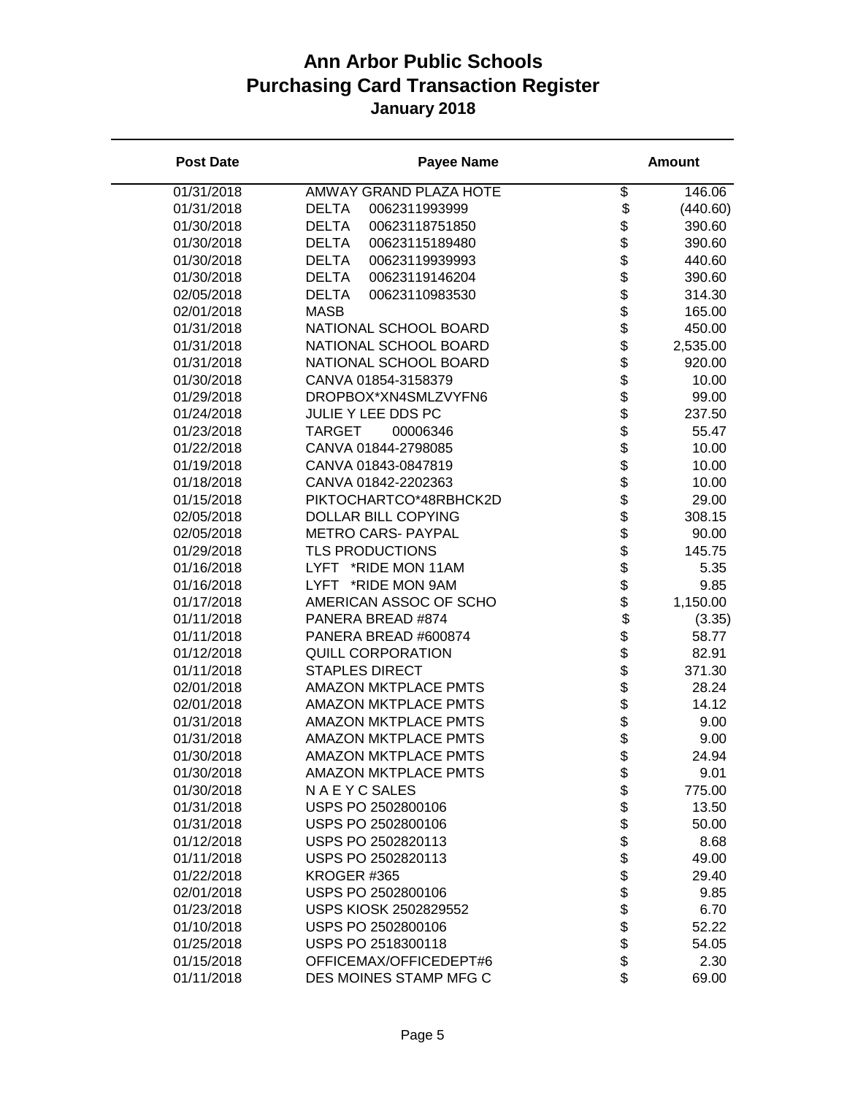| <b>Post Date</b> | <b>Payee Name</b>              |                  | <b>Amount</b> |
|------------------|--------------------------------|------------------|---------------|
| 01/31/2018       | <b>AMWAY GRAND PLAZA HOTE</b>  | \$               | 146.06        |
| 01/31/2018       | <b>DELTA</b><br>0062311993999  | \$               | (440.60)      |
| 01/30/2018       | <b>DELTA</b><br>00623118751850 | \$               | 390.60        |
| 01/30/2018       | <b>DELTA</b><br>00623115189480 | \$               | 390.60        |
| 01/30/2018       | <b>DELTA</b><br>00623119939993 | \$               | 440.60        |
| 01/30/2018       | <b>DELTA</b><br>00623119146204 | \$               | 390.60        |
| 02/05/2018       | <b>DELTA</b><br>00623110983530 | \$               | 314.30        |
| 02/01/2018       | <b>MASB</b>                    | \$               | 165.00        |
| 01/31/2018       | NATIONAL SCHOOL BOARD          |                  | 450.00        |
| 01/31/2018       | NATIONAL SCHOOL BOARD          | <b>888888888</b> | 2,535.00      |
| 01/31/2018       | NATIONAL SCHOOL BOARD          |                  | 920.00        |
| 01/30/2018       | CANVA 01854-3158379            |                  | 10.00         |
| 01/29/2018       | DROPBOX*XN4SMLZVYFN6           |                  | 99.00         |
| 01/24/2018       | JULIE Y LEE DDS PC             |                  | 237.50        |
| 01/23/2018       | <b>TARGET</b><br>00006346      |                  | 55.47         |
| 01/22/2018       | CANVA 01844-2798085            |                  | 10.00         |
| 01/19/2018       | CANVA 01843-0847819            |                  | 10.00         |
| 01/18/2018       | CANVA 01842-2202363            |                  | 10.00         |
| 01/15/2018       | PIKTOCHARTCO*48RBHCK2D         | \$               | 29.00         |
| 02/05/2018       | DOLLAR BILL COPYING            | \$               | 308.15        |
| 02/05/2018       | <b>METRO CARS- PAYPAL</b>      | \$               | 90.00         |
| 01/29/2018       | <b>TLS PRODUCTIONS</b>         |                  | 145.75        |
| 01/16/2018       | LYFT *RIDE MON 11AM            |                  | 5.35          |
| 01/16/2018       | LYFT *RIDE MON 9AM             | \$\$             | 9.85          |
| 01/17/2018       | AMERICAN ASSOC OF SCHO         | \$               | 1,150.00      |
| 01/11/2018       | PANERA BREAD #874              |                  | (3.35)        |
| 01/11/2018       | PANERA BREAD #600874           | \$\$\$\$\$\$\$\$ | 58.77         |
| 01/12/2018       | <b>QUILL CORPORATION</b>       |                  | 82.91         |
| 01/11/2018       | <b>STAPLES DIRECT</b>          |                  | 371.30        |
| 02/01/2018       | <b>AMAZON MKTPLACE PMTS</b>    |                  | 28.24         |
| 02/01/2018       | <b>AMAZON MKTPLACE PMTS</b>    |                  | 14.12         |
| 01/31/2018       | <b>AMAZON MKTPLACE PMTS</b>    |                  | 9.00          |
| 01/31/2018       | <b>AMAZON MKTPLACE PMTS</b>    | \$               | 9.00          |
| 01/30/2018       | <b>AMAZON MKTPLACE PMTS</b>    | \$               | 24.94         |
| 01/30/2018       | <b>AMAZON MKTPLACE PMTS</b>    | \$               | 9.01          |
| 01/30/2018       | N A E Y C SALES                | \$               | 775.00        |
| 01/31/2018       | USPS PO 2502800106             | \$               | 13.50         |
| 01/31/2018       | USPS PO 2502800106             | \$               | 50.00         |
| 01/12/2018       | USPS PO 2502820113             | \$               | 8.68          |
| 01/11/2018       | USPS PO 2502820113             |                  | 49.00         |
| 01/22/2018       | KROGER #365                    |                  | 29.40         |
| 02/01/2018       | USPS PO 2502800106             |                  | 9.85          |
| 01/23/2018       | <b>USPS KIOSK 2502829552</b>   | <b>8888888</b>   | 6.70          |
| 01/10/2018       | USPS PO 2502800106             |                  | 52.22         |
| 01/25/2018       | USPS PO 2518300118             |                  | 54.05         |
| 01/15/2018       | OFFICEMAX/OFFICEDEPT#6         |                  | 2.30          |
| 01/11/2018       | DES MOINES STAMP MFG C         | \$               | 69.00         |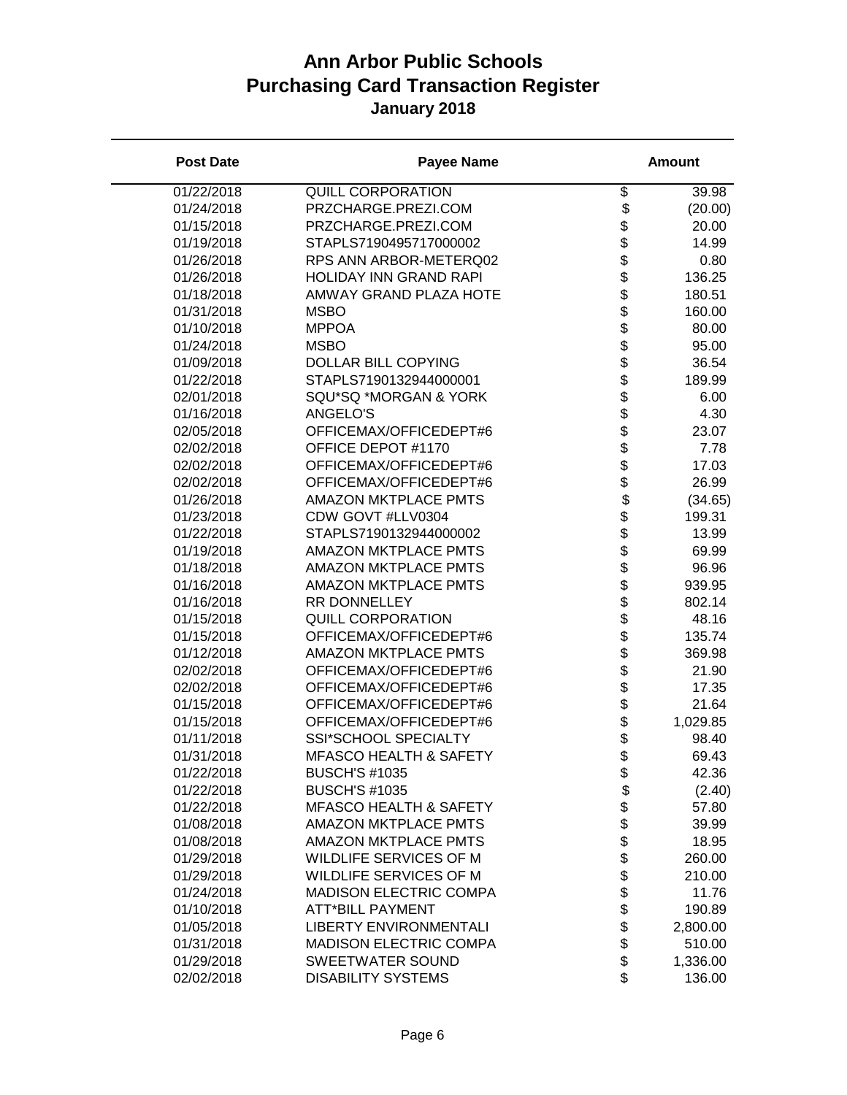| <b>Post Date</b> | <b>Payee Name</b>                 |                 | <b>Amount</b> |
|------------------|-----------------------------------|-----------------|---------------|
| 01/22/2018       | <b>QUILL CORPORATION</b>          | \$              | 39.98         |
| 01/24/2018       | PRZCHARGE.PREZI.COM               | \$              | (20.00)       |
| 01/15/2018       | PRZCHARGE.PREZI.COM               | \$              | 20.00         |
| 01/19/2018       | STAPLS7190495717000002            | \$              | 14.99         |
| 01/26/2018       | RPS ANN ARBOR-METERQ02            | \$              | 0.80          |
| 01/26/2018       | HOLIDAY INN GRAND RAPI            | \$              | 136.25        |
| 01/18/2018       | AMWAY GRAND PLAZA HOTE            | \$              | 180.51        |
| 01/31/2018       | <b>MSBO</b>                       |                 | 160.00        |
| 01/10/2018       | <b>MPPOA</b>                      |                 | 80.00         |
| 01/24/2018       | <b>MSBO</b>                       |                 | 95.00         |
| 01/09/2018       | DOLLAR BILL COPYING               |                 | 36.54         |
| 01/22/2018       | STAPLS7190132944000001            |                 | 189.99        |
| 02/01/2018       | SQU*SQ *MORGAN & YORK             |                 | 6.00          |
| 01/16/2018       | ANGELO'S                          |                 | 4.30          |
| 02/05/2018       | OFFICEMAX/OFFICEDEPT#6            | <b>金金金金金金金金</b> | 23.07         |
| 02/02/2018       | OFFICE DEPOT #1170                |                 | 7.78          |
| 02/02/2018       | OFFICEMAX/OFFICEDEPT#6            |                 | 17.03         |
| 02/02/2018       | OFFICEMAX/OFFICEDEPT#6            | \$              | 26.99         |
| 01/26/2018       | <b>AMAZON MKTPLACE PMTS</b>       | \$              | (34.65)       |
| 01/23/2018       | CDW GOVT #LLV0304                 | \$              | 199.31        |
| 01/22/2018       | STAPLS7190132944000002            | \$              | 13.99         |
| 01/19/2018       | <b>AMAZON MKTPLACE PMTS</b>       | \$              | 69.99         |
| 01/18/2018       | <b>AMAZON MKTPLACE PMTS</b>       | \$              | 96.96         |
| 01/16/2018       | <b>AMAZON MKTPLACE PMTS</b>       |                 | 939.95        |
| 01/16/2018       | RR DONNELLEY                      | まままままま          | 802.14        |
| 01/15/2018       | <b>QUILL CORPORATION</b>          |                 | 48.16         |
| 01/15/2018       | OFFICEMAX/OFFICEDEPT#6            |                 | 135.74        |
| 01/12/2018       | <b>AMAZON MKTPLACE PMTS</b>       |                 | 369.98        |
| 02/02/2018       | OFFICEMAX/OFFICEDEPT#6            |                 | 21.90         |
| 02/02/2018       | OFFICEMAX/OFFICEDEPT#6            |                 | 17.35         |
| 01/15/2018       | OFFICEMAX/OFFICEDEPT#6            | \$              | 21.64         |
| 01/15/2018       | OFFICEMAX/OFFICEDEPT#6            | \$              | 1,029.85      |
| 01/11/2018       | SSI*SCHOOL SPECIALTY              | \$              | 98.40         |
| 01/31/2018       | <b>MFASCO HEALTH &amp; SAFETY</b> | \$              | 69.43         |
| 01/22/2018       | <b>BUSCH'S #1035</b>              |                 |               |
| 01/22/2018       | <b>BUSCH'S #1035</b>              | \$              | 42.36         |
|                  |                                   | \$              | (2.40)        |
| 01/22/2018       | <b>MFASCO HEALTH &amp; SAFETY</b> |                 | 57.80         |
| 01/08/2018       | <b>AMAZON MKTPLACE PMTS</b>       |                 | 39.99         |
| 01/08/2018       | <b>AMAZON MKTPLACE PMTS</b>       | \$\$\$\$\$\$\$  | 18.95         |
| 01/29/2018       | WILDLIFE SERVICES OF M            |                 | 260.00        |
| 01/29/2018       | WILDLIFE SERVICES OF M            |                 | 210.00        |
| 01/24/2018       | <b>MADISON ELECTRIC COMPA</b>     |                 | 11.76         |
| 01/10/2018       | <b>ATT*BILL PAYMENT</b>           |                 | 190.89        |
| 01/05/2018       | <b>LIBERTY ENVIRONMENTALI</b>     | \$\$            | 2,800.00      |
| 01/31/2018       | <b>MADISON ELECTRIC COMPA</b>     |                 | 510.00        |
| 01/29/2018       | SWEETWATER SOUND                  |                 | 1,336.00      |
| 02/02/2018       | <b>DISABILITY SYSTEMS</b>         | \$              | 136.00        |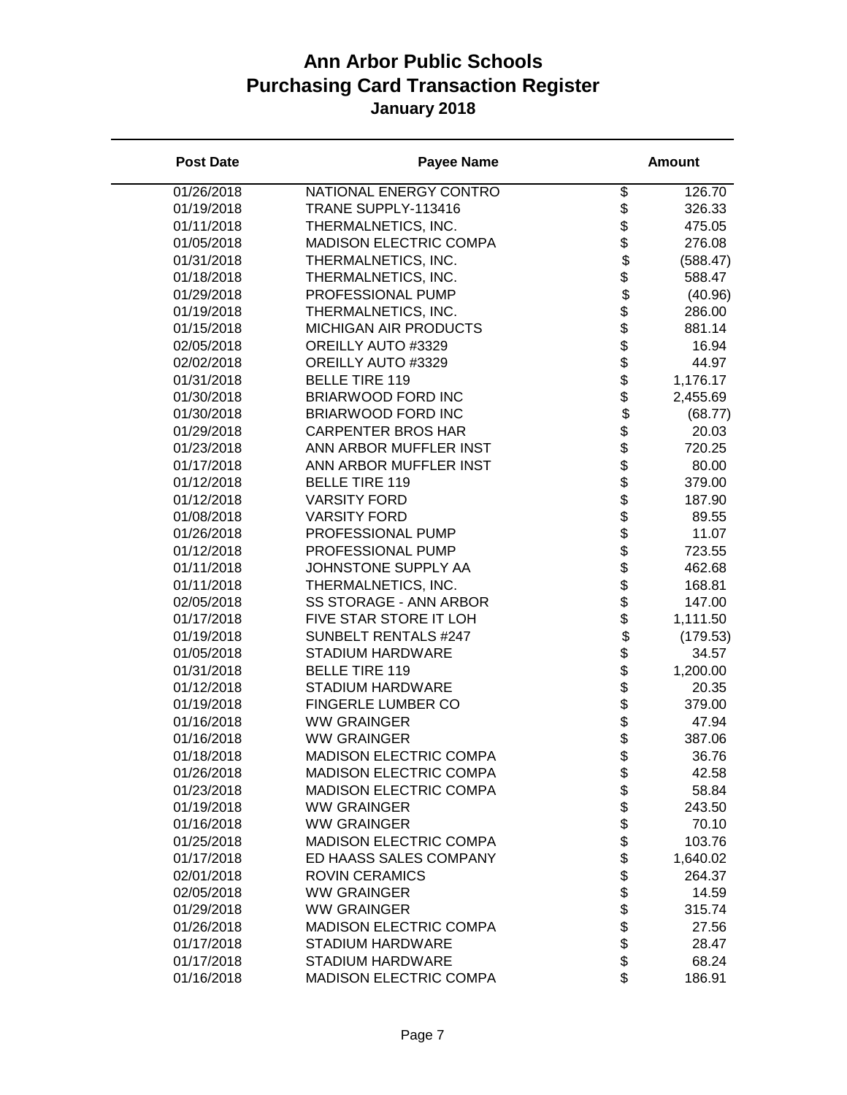| <b>Post Date</b> | <b>Payee Name</b>             |                                | <b>Amount</b> |
|------------------|-------------------------------|--------------------------------|---------------|
| 01/26/2018       | NATIONAL ENERGY CONTRO        | \$                             | 126.70        |
| 01/19/2018       | TRANE SUPPLY-113416           | \$                             | 326.33        |
| 01/11/2018       | THERMALNETICS, INC.           | \$                             | 475.05        |
| 01/05/2018       | MADISON ELECTRIC COMPA        | \$                             | 276.08        |
| 01/31/2018       | THERMALNETICS, INC.           | \$                             | (588.47)      |
| 01/18/2018       | THERMALNETICS, INC.           | \$                             | 588.47        |
| 01/29/2018       | PROFESSIONAL PUMP             | \$                             | (40.96)       |
| 01/19/2018       | THERMALNETICS, INC.           |                                | 286.00        |
| 01/15/2018       | <b>MICHIGAN AIR PRODUCTS</b>  | \$\$\$\$\$                     | 881.14        |
| 02/05/2018       | OREILLY AUTO #3329            |                                | 16.94         |
| 02/02/2018       | OREILLY AUTO #3329            |                                | 44.97         |
| 01/31/2018       | <b>BELLE TIRE 119</b>         |                                | 1,176.17      |
| 01/30/2018       | BRIARWOOD FORD INC            |                                | 2,455.69      |
| 01/30/2018       | BRIARWOOD FORD INC            |                                | (68.77)       |
| 01/29/2018       | <b>CARPENTER BROS HAR</b>     |                                | 20.03         |
| 01/23/2018       | ANN ARBOR MUFFLER INST        |                                | 720.25        |
| 01/17/2018       | ANN ARBOR MUFFLER INST        |                                | 80.00         |
| 01/12/2018       | <b>BELLE TIRE 119</b>         |                                | 379.00        |
| 01/12/2018       | <b>VARSITY FORD</b>           | \$\$\$\$\$\$\$\$               | 187.90        |
| 01/08/2018       | <b>VARSITY FORD</b>           | \$                             | 89.55         |
| 01/26/2018       | PROFESSIONAL PUMP             |                                | 11.07         |
| 01/12/2018       | PROFESSIONAL PUMP             |                                | 723.55        |
| 01/11/2018       | JOHNSTONE SUPPLY AA           |                                | 462.68        |
| 01/11/2018       | THERMALNETICS, INC.           | \$\$\$\$\$\$\$\$\$\$\$\$\$\$\$ | 168.81        |
| 02/05/2018       | SS STORAGE - ANN ARBOR        |                                | 147.00        |
| 01/17/2018       | FIVE STAR STORE IT LOH        |                                | 1,111.50      |
| 01/19/2018       | <b>SUNBELT RENTALS #247</b>   |                                | (179.53)      |
| 01/05/2018       | <b>STADIUM HARDWARE</b>       |                                | 34.57         |
| 01/31/2018       | <b>BELLE TIRE 119</b>         |                                | 1,200.00      |
| 01/12/2018       | <b>STADIUM HARDWARE</b>       |                                | 20.35         |
| 01/19/2018       | FINGERLE LUMBER CO            |                                | 379.00        |
| 01/16/2018       | <b>WW GRAINGER</b>            |                                | 47.94         |
| 01/16/2018       | <b>WW GRAINGER</b>            |                                | 387.06        |
| 01/18/2018       | <b>MADISON ELECTRIC COMPA</b> | \$                             | 36.76         |
| 01/26/2018       | <b>MADISON ELECTRIC COMPA</b> | \$                             | 42.58         |
| 01/23/2018       | <b>MADISON ELECTRIC COMPA</b> | \$                             | 58.84         |
| 01/19/2018       | <b>WW GRAINGER</b>            | \$                             | 243.50        |
| 01/16/2018       | <b>WW GRAINGER</b>            | \$                             | 70.10         |
| 01/25/2018       | <b>MADISON ELECTRIC COMPA</b> | \$                             | 103.76        |
| 01/17/2018       | ED HAASS SALES COMPANY        |                                | 1,640.02      |
| 02/01/2018       | <b>ROVIN CERAMICS</b>         |                                | 264.37        |
| 02/05/2018       | <b>WW GRAINGER</b>            |                                | 14.59         |
| 01/29/2018       | <b>WW GRAINGER</b>            | <b>8888888</b>                 | 315.74        |
| 01/26/2018       | <b>MADISON ELECTRIC COMPA</b> |                                | 27.56         |
| 01/17/2018       | <b>STADIUM HARDWARE</b>       |                                | 28.47         |
| 01/17/2018       | <b>STADIUM HARDWARE</b>       |                                | 68.24         |
| 01/16/2018       | <b>MADISON ELECTRIC COMPA</b> | \$                             | 186.91        |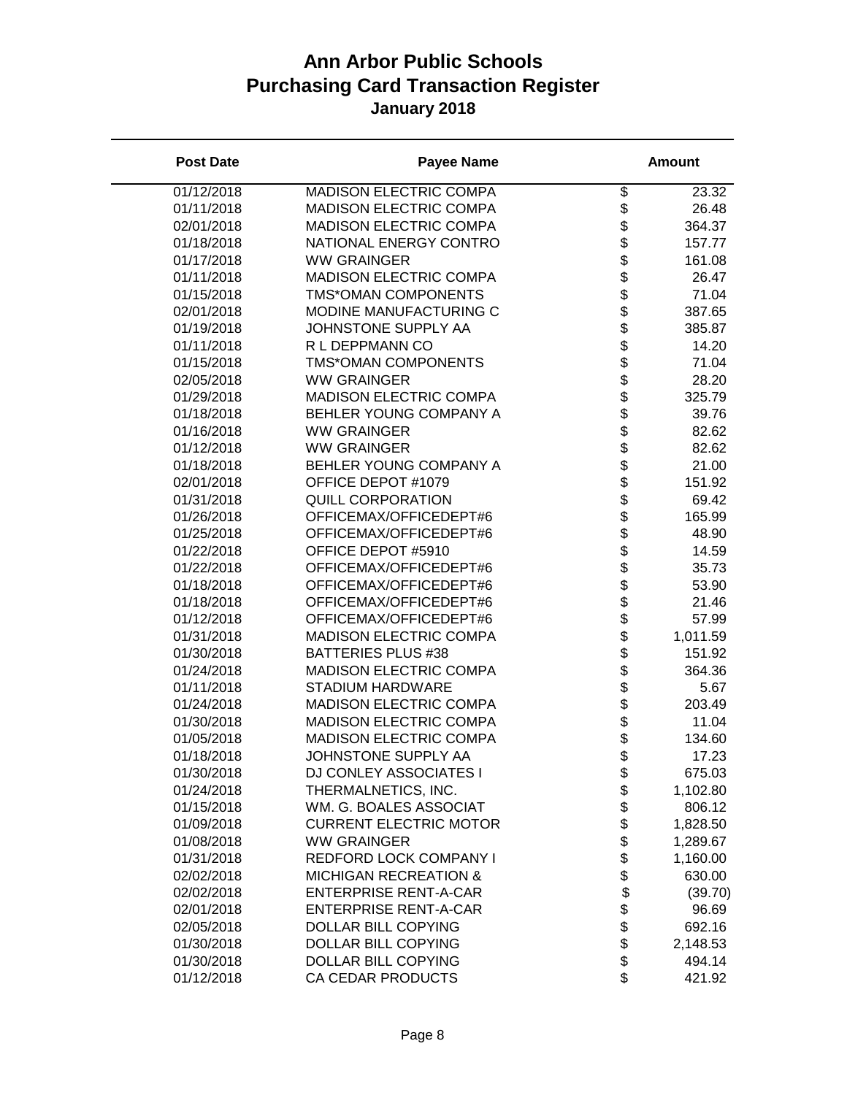| <b>MADISON ELECTRIC COMPA</b><br>\$<br>01/12/2018<br>23.32<br>\$<br>01/11/2018<br><b>MADISON ELECTRIC COMPA</b><br>26.48<br>\$<br>02/01/2018<br><b>MADISON ELECTRIC COMPA</b><br>364.37<br>\$<br>01/18/2018<br>NATIONAL ENERGY CONTRO<br>157.77<br>\$<br>01/17/2018<br><b>WW GRAINGER</b><br>161.08<br>\$<br>\$<br>01/11/2018<br><b>MADISON ELECTRIC COMPA</b><br>26.47<br>01/15/2018<br>TMS*OMAN COMPONENTS<br>71.04<br><b>8888888</b><br>02/01/2018<br>MODINE MANUFACTURING C<br>387.65<br>01/19/2018<br>JOHNSTONE SUPPLY AA<br>385.87<br>01/11/2018<br>R L DEPPMANN CO<br>14.20<br>01/15/2018<br><b>TMS*OMAN COMPONENTS</b><br>71.04<br>02/05/2018<br><b>WW GRAINGER</b><br>28.20<br><b>MADISON ELECTRIC COMPA</b><br>325.79<br>01/29/2018<br>01/18/2018<br>BEHLER YOUNG COMPANY A<br>39.76<br>\$<br>01/16/2018<br><b>WW GRAINGER</b><br>82.62<br>\$<br>\$<br>01/12/2018<br><b>WW GRAINGER</b><br>82.62<br>01/18/2018<br>BEHLER YOUNG COMPANY A<br>21.00<br>\$<br>02/01/2018<br>OFFICE DEPOT #1079<br>151.92<br>\$<br>01/31/2018<br><b>QUILL CORPORATION</b><br>69.42<br>\$<br>01/26/2018<br>OFFICEMAX/OFFICEDEPT#6<br>165.99<br>\$<br>01/25/2018<br>OFFICEMAX/OFFICEDEPT#6<br>48.90<br>\$\$\$\$\$<br>01/22/2018<br>OFFICE DEPOT #5910<br>14.59<br>OFFICEMAX/OFFICEDEPT#6<br>01/22/2018<br>35.73<br>OFFICEMAX/OFFICEDEPT#6<br>01/18/2018<br>53.90<br>OFFICEMAX/OFFICEDEPT#6<br>01/18/2018<br>21.46<br>OFFICEMAX/OFFICEDEPT#6<br>01/12/2018<br>57.99<br>\$<br>01/31/2018<br><b>MADISON ELECTRIC COMPA</b><br>1,011.59<br>\$<br>\$<br>01/30/2018<br><b>BATTERIES PLUS #38</b><br>151.92<br><b>MADISON ELECTRIC COMPA</b><br>364.36<br>01/24/2018<br>01/11/2018<br><b>STADIUM HARDWARE</b><br>5.67<br>\$<br>01/24/2018<br><b>MADISON ELECTRIC COMPA</b><br>203.49<br>\$<br><b>MADISON ELECTRIC COMPA</b><br>11.04<br>01/30/2018<br>\$<br>01/05/2018<br><b>MADISON ELECTRIC COMPA</b><br>134.60<br>\$<br>JOHNSTONE SUPPLY AA<br>01/18/2018<br>17.23<br>\$<br>DJ CONLEY ASSOCIATES I<br>675.03<br>01/30/2018<br>\$<br>THERMALNETICS, INC.<br>01/24/2018<br>1,102.80<br>\$<br>01/15/2018<br>WM. G. BOALES ASSOCIAT<br>806.12<br>\$<br>01/09/2018<br><b>CURRENT ELECTRIC MOTOR</b><br>1,828.50<br>\$\$\$\$\$\$\$<br><b>WW GRAINGER</b><br>01/08/2018<br>1,289.67<br>01/31/2018<br>REDFORD LOCK COMPANY I<br>1,160.00<br>02/02/2018<br><b>MICHIGAN RECREATION &amp;</b><br>630.00<br>02/02/2018<br><b>ENTERPRISE RENT-A-CAR</b><br>(39.70)<br><b>ENTERPRISE RENT-A-CAR</b><br>02/01/2018<br>96.69<br><b>DOLLAR BILL COPYING</b><br>02/05/2018<br>692.16<br>\$<br>DOLLAR BILL COPYING<br>01/30/2018<br>2,148.53<br>\$<br>DOLLAR BILL COPYING<br>01/30/2018<br>494.14 | <b>Post Date</b> | <b>Payee Name</b> | <b>Amount</b> |
|----------------------------------------------------------------------------------------------------------------------------------------------------------------------------------------------------------------------------------------------------------------------------------------------------------------------------------------------------------------------------------------------------------------------------------------------------------------------------------------------------------------------------------------------------------------------------------------------------------------------------------------------------------------------------------------------------------------------------------------------------------------------------------------------------------------------------------------------------------------------------------------------------------------------------------------------------------------------------------------------------------------------------------------------------------------------------------------------------------------------------------------------------------------------------------------------------------------------------------------------------------------------------------------------------------------------------------------------------------------------------------------------------------------------------------------------------------------------------------------------------------------------------------------------------------------------------------------------------------------------------------------------------------------------------------------------------------------------------------------------------------------------------------------------------------------------------------------------------------------------------------------------------------------------------------------------------------------------------------------------------------------------------------------------------------------------------------------------------------------------------------------------------------------------------------------------------------------------------------------------------------------------------------------------------------------------------------------------------------------------------------------------------------------------------------------------------------------------------------------------------------------------------------------------------------------------------------------------------------------------------------------------------------------|------------------|-------------------|---------------|
|                                                                                                                                                                                                                                                                                                                                                                                                                                                                                                                                                                                                                                                                                                                                                                                                                                                                                                                                                                                                                                                                                                                                                                                                                                                                                                                                                                                                                                                                                                                                                                                                                                                                                                                                                                                                                                                                                                                                                                                                                                                                                                                                                                                                                                                                                                                                                                                                                                                                                                                                                                                                                                                                |                  |                   |               |
|                                                                                                                                                                                                                                                                                                                                                                                                                                                                                                                                                                                                                                                                                                                                                                                                                                                                                                                                                                                                                                                                                                                                                                                                                                                                                                                                                                                                                                                                                                                                                                                                                                                                                                                                                                                                                                                                                                                                                                                                                                                                                                                                                                                                                                                                                                                                                                                                                                                                                                                                                                                                                                                                |                  |                   |               |
|                                                                                                                                                                                                                                                                                                                                                                                                                                                                                                                                                                                                                                                                                                                                                                                                                                                                                                                                                                                                                                                                                                                                                                                                                                                                                                                                                                                                                                                                                                                                                                                                                                                                                                                                                                                                                                                                                                                                                                                                                                                                                                                                                                                                                                                                                                                                                                                                                                                                                                                                                                                                                                                                |                  |                   |               |
|                                                                                                                                                                                                                                                                                                                                                                                                                                                                                                                                                                                                                                                                                                                                                                                                                                                                                                                                                                                                                                                                                                                                                                                                                                                                                                                                                                                                                                                                                                                                                                                                                                                                                                                                                                                                                                                                                                                                                                                                                                                                                                                                                                                                                                                                                                                                                                                                                                                                                                                                                                                                                                                                |                  |                   |               |
|                                                                                                                                                                                                                                                                                                                                                                                                                                                                                                                                                                                                                                                                                                                                                                                                                                                                                                                                                                                                                                                                                                                                                                                                                                                                                                                                                                                                                                                                                                                                                                                                                                                                                                                                                                                                                                                                                                                                                                                                                                                                                                                                                                                                                                                                                                                                                                                                                                                                                                                                                                                                                                                                |                  |                   |               |
|                                                                                                                                                                                                                                                                                                                                                                                                                                                                                                                                                                                                                                                                                                                                                                                                                                                                                                                                                                                                                                                                                                                                                                                                                                                                                                                                                                                                                                                                                                                                                                                                                                                                                                                                                                                                                                                                                                                                                                                                                                                                                                                                                                                                                                                                                                                                                                                                                                                                                                                                                                                                                                                                |                  |                   |               |
|                                                                                                                                                                                                                                                                                                                                                                                                                                                                                                                                                                                                                                                                                                                                                                                                                                                                                                                                                                                                                                                                                                                                                                                                                                                                                                                                                                                                                                                                                                                                                                                                                                                                                                                                                                                                                                                                                                                                                                                                                                                                                                                                                                                                                                                                                                                                                                                                                                                                                                                                                                                                                                                                |                  |                   |               |
|                                                                                                                                                                                                                                                                                                                                                                                                                                                                                                                                                                                                                                                                                                                                                                                                                                                                                                                                                                                                                                                                                                                                                                                                                                                                                                                                                                                                                                                                                                                                                                                                                                                                                                                                                                                                                                                                                                                                                                                                                                                                                                                                                                                                                                                                                                                                                                                                                                                                                                                                                                                                                                                                |                  |                   |               |
|                                                                                                                                                                                                                                                                                                                                                                                                                                                                                                                                                                                                                                                                                                                                                                                                                                                                                                                                                                                                                                                                                                                                                                                                                                                                                                                                                                                                                                                                                                                                                                                                                                                                                                                                                                                                                                                                                                                                                                                                                                                                                                                                                                                                                                                                                                                                                                                                                                                                                                                                                                                                                                                                |                  |                   |               |
|                                                                                                                                                                                                                                                                                                                                                                                                                                                                                                                                                                                                                                                                                                                                                                                                                                                                                                                                                                                                                                                                                                                                                                                                                                                                                                                                                                                                                                                                                                                                                                                                                                                                                                                                                                                                                                                                                                                                                                                                                                                                                                                                                                                                                                                                                                                                                                                                                                                                                                                                                                                                                                                                |                  |                   |               |
|                                                                                                                                                                                                                                                                                                                                                                                                                                                                                                                                                                                                                                                                                                                                                                                                                                                                                                                                                                                                                                                                                                                                                                                                                                                                                                                                                                                                                                                                                                                                                                                                                                                                                                                                                                                                                                                                                                                                                                                                                                                                                                                                                                                                                                                                                                                                                                                                                                                                                                                                                                                                                                                                |                  |                   |               |
|                                                                                                                                                                                                                                                                                                                                                                                                                                                                                                                                                                                                                                                                                                                                                                                                                                                                                                                                                                                                                                                                                                                                                                                                                                                                                                                                                                                                                                                                                                                                                                                                                                                                                                                                                                                                                                                                                                                                                                                                                                                                                                                                                                                                                                                                                                                                                                                                                                                                                                                                                                                                                                                                |                  |                   |               |
|                                                                                                                                                                                                                                                                                                                                                                                                                                                                                                                                                                                                                                                                                                                                                                                                                                                                                                                                                                                                                                                                                                                                                                                                                                                                                                                                                                                                                                                                                                                                                                                                                                                                                                                                                                                                                                                                                                                                                                                                                                                                                                                                                                                                                                                                                                                                                                                                                                                                                                                                                                                                                                                                |                  |                   |               |
|                                                                                                                                                                                                                                                                                                                                                                                                                                                                                                                                                                                                                                                                                                                                                                                                                                                                                                                                                                                                                                                                                                                                                                                                                                                                                                                                                                                                                                                                                                                                                                                                                                                                                                                                                                                                                                                                                                                                                                                                                                                                                                                                                                                                                                                                                                                                                                                                                                                                                                                                                                                                                                                                |                  |                   |               |
|                                                                                                                                                                                                                                                                                                                                                                                                                                                                                                                                                                                                                                                                                                                                                                                                                                                                                                                                                                                                                                                                                                                                                                                                                                                                                                                                                                                                                                                                                                                                                                                                                                                                                                                                                                                                                                                                                                                                                                                                                                                                                                                                                                                                                                                                                                                                                                                                                                                                                                                                                                                                                                                                |                  |                   |               |
|                                                                                                                                                                                                                                                                                                                                                                                                                                                                                                                                                                                                                                                                                                                                                                                                                                                                                                                                                                                                                                                                                                                                                                                                                                                                                                                                                                                                                                                                                                                                                                                                                                                                                                                                                                                                                                                                                                                                                                                                                                                                                                                                                                                                                                                                                                                                                                                                                                                                                                                                                                                                                                                                |                  |                   |               |
|                                                                                                                                                                                                                                                                                                                                                                                                                                                                                                                                                                                                                                                                                                                                                                                                                                                                                                                                                                                                                                                                                                                                                                                                                                                                                                                                                                                                                                                                                                                                                                                                                                                                                                                                                                                                                                                                                                                                                                                                                                                                                                                                                                                                                                                                                                                                                                                                                                                                                                                                                                                                                                                                |                  |                   |               |
|                                                                                                                                                                                                                                                                                                                                                                                                                                                                                                                                                                                                                                                                                                                                                                                                                                                                                                                                                                                                                                                                                                                                                                                                                                                                                                                                                                                                                                                                                                                                                                                                                                                                                                                                                                                                                                                                                                                                                                                                                                                                                                                                                                                                                                                                                                                                                                                                                                                                                                                                                                                                                                                                |                  |                   |               |
|                                                                                                                                                                                                                                                                                                                                                                                                                                                                                                                                                                                                                                                                                                                                                                                                                                                                                                                                                                                                                                                                                                                                                                                                                                                                                                                                                                                                                                                                                                                                                                                                                                                                                                                                                                                                                                                                                                                                                                                                                                                                                                                                                                                                                                                                                                                                                                                                                                                                                                                                                                                                                                                                |                  |                   |               |
|                                                                                                                                                                                                                                                                                                                                                                                                                                                                                                                                                                                                                                                                                                                                                                                                                                                                                                                                                                                                                                                                                                                                                                                                                                                                                                                                                                                                                                                                                                                                                                                                                                                                                                                                                                                                                                                                                                                                                                                                                                                                                                                                                                                                                                                                                                                                                                                                                                                                                                                                                                                                                                                                |                  |                   |               |
|                                                                                                                                                                                                                                                                                                                                                                                                                                                                                                                                                                                                                                                                                                                                                                                                                                                                                                                                                                                                                                                                                                                                                                                                                                                                                                                                                                                                                                                                                                                                                                                                                                                                                                                                                                                                                                                                                                                                                                                                                                                                                                                                                                                                                                                                                                                                                                                                                                                                                                                                                                                                                                                                |                  |                   |               |
|                                                                                                                                                                                                                                                                                                                                                                                                                                                                                                                                                                                                                                                                                                                                                                                                                                                                                                                                                                                                                                                                                                                                                                                                                                                                                                                                                                                                                                                                                                                                                                                                                                                                                                                                                                                                                                                                                                                                                                                                                                                                                                                                                                                                                                                                                                                                                                                                                                                                                                                                                                                                                                                                |                  |                   |               |
|                                                                                                                                                                                                                                                                                                                                                                                                                                                                                                                                                                                                                                                                                                                                                                                                                                                                                                                                                                                                                                                                                                                                                                                                                                                                                                                                                                                                                                                                                                                                                                                                                                                                                                                                                                                                                                                                                                                                                                                                                                                                                                                                                                                                                                                                                                                                                                                                                                                                                                                                                                                                                                                                |                  |                   |               |
|                                                                                                                                                                                                                                                                                                                                                                                                                                                                                                                                                                                                                                                                                                                                                                                                                                                                                                                                                                                                                                                                                                                                                                                                                                                                                                                                                                                                                                                                                                                                                                                                                                                                                                                                                                                                                                                                                                                                                                                                                                                                                                                                                                                                                                                                                                                                                                                                                                                                                                                                                                                                                                                                |                  |                   |               |
|                                                                                                                                                                                                                                                                                                                                                                                                                                                                                                                                                                                                                                                                                                                                                                                                                                                                                                                                                                                                                                                                                                                                                                                                                                                                                                                                                                                                                                                                                                                                                                                                                                                                                                                                                                                                                                                                                                                                                                                                                                                                                                                                                                                                                                                                                                                                                                                                                                                                                                                                                                                                                                                                |                  |                   |               |
|                                                                                                                                                                                                                                                                                                                                                                                                                                                                                                                                                                                                                                                                                                                                                                                                                                                                                                                                                                                                                                                                                                                                                                                                                                                                                                                                                                                                                                                                                                                                                                                                                                                                                                                                                                                                                                                                                                                                                                                                                                                                                                                                                                                                                                                                                                                                                                                                                                                                                                                                                                                                                                                                |                  |                   |               |
|                                                                                                                                                                                                                                                                                                                                                                                                                                                                                                                                                                                                                                                                                                                                                                                                                                                                                                                                                                                                                                                                                                                                                                                                                                                                                                                                                                                                                                                                                                                                                                                                                                                                                                                                                                                                                                                                                                                                                                                                                                                                                                                                                                                                                                                                                                                                                                                                                                                                                                                                                                                                                                                                |                  |                   |               |
|                                                                                                                                                                                                                                                                                                                                                                                                                                                                                                                                                                                                                                                                                                                                                                                                                                                                                                                                                                                                                                                                                                                                                                                                                                                                                                                                                                                                                                                                                                                                                                                                                                                                                                                                                                                                                                                                                                                                                                                                                                                                                                                                                                                                                                                                                                                                                                                                                                                                                                                                                                                                                                                                |                  |                   |               |
|                                                                                                                                                                                                                                                                                                                                                                                                                                                                                                                                                                                                                                                                                                                                                                                                                                                                                                                                                                                                                                                                                                                                                                                                                                                                                                                                                                                                                                                                                                                                                                                                                                                                                                                                                                                                                                                                                                                                                                                                                                                                                                                                                                                                                                                                                                                                                                                                                                                                                                                                                                                                                                                                |                  |                   |               |
|                                                                                                                                                                                                                                                                                                                                                                                                                                                                                                                                                                                                                                                                                                                                                                                                                                                                                                                                                                                                                                                                                                                                                                                                                                                                                                                                                                                                                                                                                                                                                                                                                                                                                                                                                                                                                                                                                                                                                                                                                                                                                                                                                                                                                                                                                                                                                                                                                                                                                                                                                                                                                                                                |                  |                   |               |
|                                                                                                                                                                                                                                                                                                                                                                                                                                                                                                                                                                                                                                                                                                                                                                                                                                                                                                                                                                                                                                                                                                                                                                                                                                                                                                                                                                                                                                                                                                                                                                                                                                                                                                                                                                                                                                                                                                                                                                                                                                                                                                                                                                                                                                                                                                                                                                                                                                                                                                                                                                                                                                                                |                  |                   |               |
|                                                                                                                                                                                                                                                                                                                                                                                                                                                                                                                                                                                                                                                                                                                                                                                                                                                                                                                                                                                                                                                                                                                                                                                                                                                                                                                                                                                                                                                                                                                                                                                                                                                                                                                                                                                                                                                                                                                                                                                                                                                                                                                                                                                                                                                                                                                                                                                                                                                                                                                                                                                                                                                                |                  |                   |               |
|                                                                                                                                                                                                                                                                                                                                                                                                                                                                                                                                                                                                                                                                                                                                                                                                                                                                                                                                                                                                                                                                                                                                                                                                                                                                                                                                                                                                                                                                                                                                                                                                                                                                                                                                                                                                                                                                                                                                                                                                                                                                                                                                                                                                                                                                                                                                                                                                                                                                                                                                                                                                                                                                |                  |                   |               |
|                                                                                                                                                                                                                                                                                                                                                                                                                                                                                                                                                                                                                                                                                                                                                                                                                                                                                                                                                                                                                                                                                                                                                                                                                                                                                                                                                                                                                                                                                                                                                                                                                                                                                                                                                                                                                                                                                                                                                                                                                                                                                                                                                                                                                                                                                                                                                                                                                                                                                                                                                                                                                                                                |                  |                   |               |
|                                                                                                                                                                                                                                                                                                                                                                                                                                                                                                                                                                                                                                                                                                                                                                                                                                                                                                                                                                                                                                                                                                                                                                                                                                                                                                                                                                                                                                                                                                                                                                                                                                                                                                                                                                                                                                                                                                                                                                                                                                                                                                                                                                                                                                                                                                                                                                                                                                                                                                                                                                                                                                                                |                  |                   |               |
|                                                                                                                                                                                                                                                                                                                                                                                                                                                                                                                                                                                                                                                                                                                                                                                                                                                                                                                                                                                                                                                                                                                                                                                                                                                                                                                                                                                                                                                                                                                                                                                                                                                                                                                                                                                                                                                                                                                                                                                                                                                                                                                                                                                                                                                                                                                                                                                                                                                                                                                                                                                                                                                                |                  |                   |               |
|                                                                                                                                                                                                                                                                                                                                                                                                                                                                                                                                                                                                                                                                                                                                                                                                                                                                                                                                                                                                                                                                                                                                                                                                                                                                                                                                                                                                                                                                                                                                                                                                                                                                                                                                                                                                                                                                                                                                                                                                                                                                                                                                                                                                                                                                                                                                                                                                                                                                                                                                                                                                                                                                |                  |                   |               |
|                                                                                                                                                                                                                                                                                                                                                                                                                                                                                                                                                                                                                                                                                                                                                                                                                                                                                                                                                                                                                                                                                                                                                                                                                                                                                                                                                                                                                                                                                                                                                                                                                                                                                                                                                                                                                                                                                                                                                                                                                                                                                                                                                                                                                                                                                                                                                                                                                                                                                                                                                                                                                                                                |                  |                   |               |
|                                                                                                                                                                                                                                                                                                                                                                                                                                                                                                                                                                                                                                                                                                                                                                                                                                                                                                                                                                                                                                                                                                                                                                                                                                                                                                                                                                                                                                                                                                                                                                                                                                                                                                                                                                                                                                                                                                                                                                                                                                                                                                                                                                                                                                                                                                                                                                                                                                                                                                                                                                                                                                                                |                  |                   |               |
|                                                                                                                                                                                                                                                                                                                                                                                                                                                                                                                                                                                                                                                                                                                                                                                                                                                                                                                                                                                                                                                                                                                                                                                                                                                                                                                                                                                                                                                                                                                                                                                                                                                                                                                                                                                                                                                                                                                                                                                                                                                                                                                                                                                                                                                                                                                                                                                                                                                                                                                                                                                                                                                                |                  |                   |               |
|                                                                                                                                                                                                                                                                                                                                                                                                                                                                                                                                                                                                                                                                                                                                                                                                                                                                                                                                                                                                                                                                                                                                                                                                                                                                                                                                                                                                                                                                                                                                                                                                                                                                                                                                                                                                                                                                                                                                                                                                                                                                                                                                                                                                                                                                                                                                                                                                                                                                                                                                                                                                                                                                |                  |                   |               |
|                                                                                                                                                                                                                                                                                                                                                                                                                                                                                                                                                                                                                                                                                                                                                                                                                                                                                                                                                                                                                                                                                                                                                                                                                                                                                                                                                                                                                                                                                                                                                                                                                                                                                                                                                                                                                                                                                                                                                                                                                                                                                                                                                                                                                                                                                                                                                                                                                                                                                                                                                                                                                                                                |                  |                   |               |
|                                                                                                                                                                                                                                                                                                                                                                                                                                                                                                                                                                                                                                                                                                                                                                                                                                                                                                                                                                                                                                                                                                                                                                                                                                                                                                                                                                                                                                                                                                                                                                                                                                                                                                                                                                                                                                                                                                                                                                                                                                                                                                                                                                                                                                                                                                                                                                                                                                                                                                                                                                                                                                                                |                  |                   |               |
|                                                                                                                                                                                                                                                                                                                                                                                                                                                                                                                                                                                                                                                                                                                                                                                                                                                                                                                                                                                                                                                                                                                                                                                                                                                                                                                                                                                                                                                                                                                                                                                                                                                                                                                                                                                                                                                                                                                                                                                                                                                                                                                                                                                                                                                                                                                                                                                                                                                                                                                                                                                                                                                                |                  |                   |               |
|                                                                                                                                                                                                                                                                                                                                                                                                                                                                                                                                                                                                                                                                                                                                                                                                                                                                                                                                                                                                                                                                                                                                                                                                                                                                                                                                                                                                                                                                                                                                                                                                                                                                                                                                                                                                                                                                                                                                                                                                                                                                                                                                                                                                                                                                                                                                                                                                                                                                                                                                                                                                                                                                |                  |                   |               |
|                                                                                                                                                                                                                                                                                                                                                                                                                                                                                                                                                                                                                                                                                                                                                                                                                                                                                                                                                                                                                                                                                                                                                                                                                                                                                                                                                                                                                                                                                                                                                                                                                                                                                                                                                                                                                                                                                                                                                                                                                                                                                                                                                                                                                                                                                                                                                                                                                                                                                                                                                                                                                                                                |                  |                   |               |
|                                                                                                                                                                                                                                                                                                                                                                                                                                                                                                                                                                                                                                                                                                                                                                                                                                                                                                                                                                                                                                                                                                                                                                                                                                                                                                                                                                                                                                                                                                                                                                                                                                                                                                                                                                                                                                                                                                                                                                                                                                                                                                                                                                                                                                                                                                                                                                                                                                                                                                                                                                                                                                                                | 01/12/2018       | CA CEDAR PRODUCTS | \$<br>421.92  |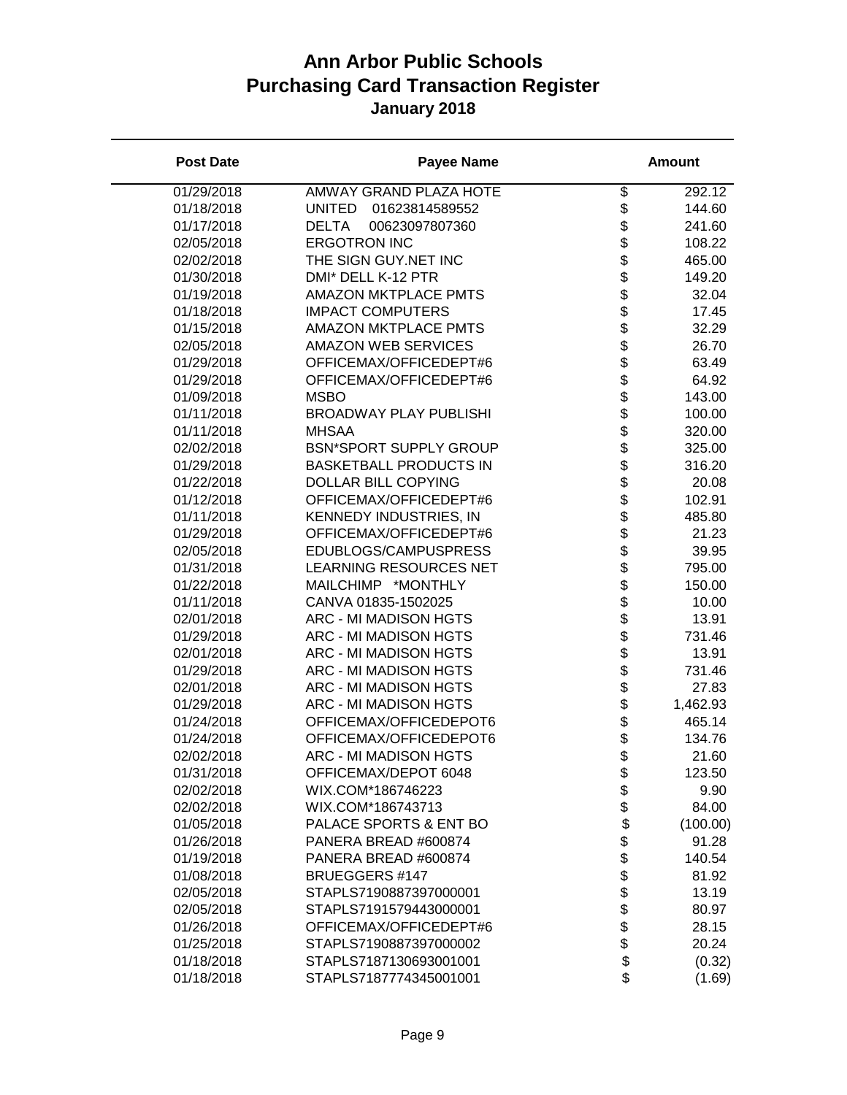| <b>Post Date</b> | <b>Payee Name</b>               |                  | <b>Amount</b> |
|------------------|---------------------------------|------------------|---------------|
| 01/29/2018       | AMWAY GRAND PLAZA HOTE          | \$               | 292.12        |
| 01/18/2018       | <b>UNITED</b><br>01623814589552 | \$               | 144.60        |
| 01/17/2018       | <b>DELTA</b><br>00623097807360  | \$               | 241.60        |
| 02/05/2018       | <b>ERGOTRON INC</b>             | \$               | 108.22        |
| 02/02/2018       | THE SIGN GUY.NET INC            | \$               | 465.00        |
| 01/30/2018       | DMI* DELL K-12 PTR              | \$               | 149.20        |
| 01/19/2018       | <b>AMAZON MKTPLACE PMTS</b>     | \$               | 32.04         |
| 01/18/2018       | <b>IMPACT COMPUTERS</b>         |                  | 17.45         |
| 01/15/2018       | <b>AMAZON MKTPLACE PMTS</b>     | \$\$\$\$\$       | 32.29         |
| 02/05/2018       | <b>AMAZON WEB SERVICES</b>      |                  | 26.70         |
| 01/29/2018       | OFFICEMAX/OFFICEDEPT#6          |                  | 63.49         |
| 01/29/2018       | OFFICEMAX/OFFICEDEPT#6          |                  | 64.92         |
| 01/09/2018       | <b>MSBO</b>                     |                  | 143.00        |
| 01/11/2018       | <b>BROADWAY PLAY PUBLISHI</b>   |                  | 100.00        |
| 01/11/2018       | <b>MHSAA</b>                    | \$\$\$           | 320.00        |
| 02/02/2018       | <b>BSN*SPORT SUPPLY GROUP</b>   |                  | 325.00        |
| 01/29/2018       | <b>BASKETBALL PRODUCTS IN</b>   | \$               | 316.20        |
| 01/22/2018       | <b>DOLLAR BILL COPYING</b>      | \$               | 20.08         |
| 01/12/2018       | OFFICEMAX/OFFICEDEPT#6          | \$               | 102.91        |
| 01/11/2018       | <b>KENNEDY INDUSTRIES, IN</b>   | \$               | 485.80        |
| 01/29/2018       | OFFICEMAX/OFFICEDEPT#6          | \$               | 21.23         |
| 02/05/2018       | EDUBLOGS/CAMPUSPRESS            | \$               | 39.95         |
| 01/31/2018       | <b>LEARNING RESOURCES NET</b>   | \$               | 795.00        |
| 01/22/2018       | MAILCHIMP *MONTHLY              |                  | 150.00        |
| 01/11/2018       | CANVA 01835-1502025             | <b>88888888</b>  | 10.00         |
| 02/01/2018       | ARC - MI MADISON HGTS           |                  | 13.91         |
| 01/29/2018       | ARC - MI MADISON HGTS           |                  | 731.46        |
| 02/01/2018       | ARC - MI MADISON HGTS           |                  | 13.91         |
| 01/29/2018       | ARC - MI MADISON HGTS           |                  | 731.46        |
| 02/01/2018       | ARC - MI MADISON HGTS           |                  | 27.83         |
| 01/29/2018       | ARC - MI MADISON HGTS           |                  | 1,462.93      |
| 01/24/2018       | OFFICEMAX/OFFICEDEPOT6          |                  | 465.14        |
| 01/24/2018       | OFFICEMAX/OFFICEDEPOT6          | \$               | 134.76        |
| 02/02/2018       | <b>ARC - MI MADISON HGTS</b>    | \$               | 21.60         |
| 01/31/2018       | OFFICEMAX/DEPOT 6048            | \$               | 123.50        |
| 02/02/2018       | WIX.COM*186746223               | \$               | 9.90          |
| 02/02/2018       | WIX.COM*186743713               | \$               | 84.00         |
| 01/05/2018       | PALACE SPORTS & ENT BO          | \$               | (100.00)      |
| 01/26/2018       | PANERA BREAD #600874            | \$               | 91.28         |
| 01/19/2018       | PANERA BREAD #600874            |                  | 140.54        |
| 01/08/2018       | <b>BRUEGGERS #147</b>           |                  | 81.92         |
| 02/05/2018       | STAPLS7190887397000001          |                  | 13.19         |
| 02/05/2018       | STAPLS7191579443000001          | \$\$\$\$\$\$\$\$ | 80.97         |
| 01/26/2018       | OFFICEMAX/OFFICEDEPT#6          |                  | 28.15         |
| 01/25/2018       | STAPLS7190887397000002          |                  | 20.24         |
| 01/18/2018       | STAPLS7187130693001001          |                  | (0.32)        |
| 01/18/2018       | STAPLS7187774345001001          | \$               | (1.69)        |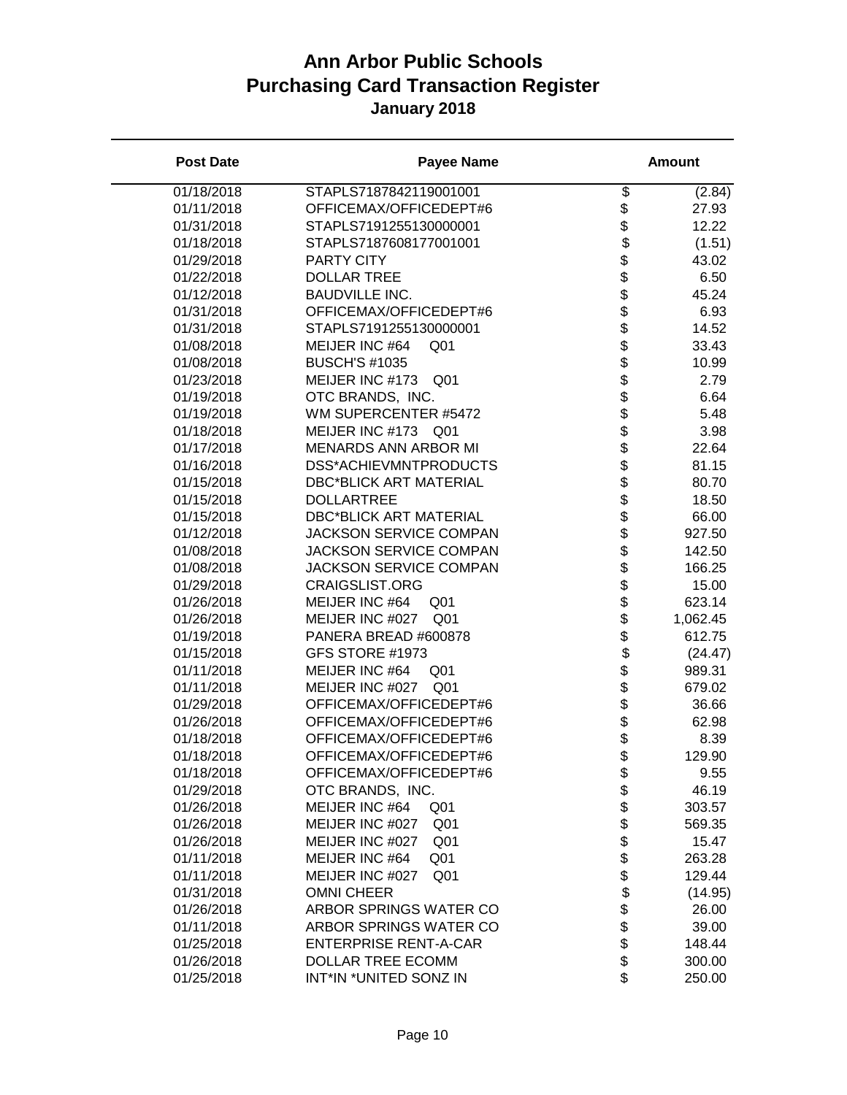| <b>Post Date</b> | <b>Payee Name</b>                  |                                    | <b>Amount</b>   |
|------------------|------------------------------------|------------------------------------|-----------------|
| 01/18/2018       | STAPLS7187842119001001             | \$                                 | (2.84)          |
| 01/11/2018       | OFFICEMAX/OFFICEDEPT#6             | \$                                 | 27.93           |
| 01/31/2018       | STAPLS7191255130000001             | \$                                 | 12.22           |
| 01/18/2018       | STAPLS7187608177001001             | \$                                 | (1.51)          |
| 01/29/2018       | <b>PARTY CITY</b>                  |                                    | 43.02           |
| 01/22/2018       | <b>DOLLAR TREE</b>                 |                                    | 6.50            |
| 01/12/2018       | <b>BAUDVILLE INC.</b>              |                                    | 45.24           |
| 01/31/2018       | OFFICEMAX/OFFICEDEPT#6             | <b>a a a a a a a a a a a a a a</b> | 6.93            |
| 01/31/2018       | STAPLS7191255130000001             |                                    | 14.52           |
| 01/08/2018       | MEIJER INC #64<br>Q <sub>01</sub>  |                                    | 33.43           |
| 01/08/2018       | <b>BUSCH'S #1035</b>               |                                    | 10.99           |
| 01/23/2018       | MEIJER INC #173 Q01                |                                    | 2.79            |
| 01/19/2018       | OTC BRANDS, INC.                   |                                    | 6.64            |
| 01/19/2018       | WM SUPERCENTER #5472               |                                    | 5.48            |
| 01/18/2018       | MEIJER INC #173 Q01                |                                    | 3.98            |
| 01/17/2018       | <b>MENARDS ANN ARBOR MI</b>        |                                    | 22.64           |
| 01/16/2018       | DSS*ACHIEVMNTPRODUCTS              |                                    | 81.15           |
| 01/15/2018       | <b>DBC*BLICK ART MATERIAL</b>      |                                    | 80.70           |
| 01/15/2018       | <b>DOLLARTREE</b>                  | \$                                 | 18.50           |
| 01/15/2018       | <b>DBC*BLICK ART MATERIAL</b>      |                                    | 66.00           |
| 01/12/2018       | <b>JACKSON SERVICE COMPAN</b>      |                                    | 927.50          |
| 01/08/2018       | <b>JACKSON SERVICE COMPAN</b>      |                                    | 142.50          |
| 01/08/2018       | <b>JACKSON SERVICE COMPAN</b>      | ୫୫୫୫୫୫୫୫୫୫୫୫୫୫                     | 166.25          |
| 01/29/2018       | <b>CRAIGSLIST.ORG</b>              |                                    | 15.00           |
| 01/26/2018       | MEIJER INC #64<br>Q <sub>01</sub>  |                                    | 623.14          |
| 01/26/2018       | MEIJER INC #027<br>Q <sub>01</sub> |                                    | 1,062.45        |
| 01/19/2018       | PANERA BREAD #600878               |                                    | 612.75          |
| 01/15/2018       | GFS STORE #1973                    |                                    | (24.47)         |
| 01/11/2018       | MEIJER INC #64<br>Q <sub>01</sub>  |                                    | 989.31          |
| 01/11/2018       | MEIJER INC #027<br>Q <sub>01</sub> |                                    | 679.02          |
| 01/29/2018       | OFFICEMAX/OFFICEDEPT#6             |                                    | 36.66           |
| 01/26/2018       | OFFICEMAX/OFFICEDEPT#6             |                                    | 62.98           |
| 01/18/2018       | OFFICEMAX/OFFICEDEPT#6             |                                    | 8.39            |
| 01/18/2018       | OFFICEMAX/OFFICEDEPT#6             |                                    | 129.90          |
| 01/18/2018       | OFFICEMAX/OFFICEDEPT#6             |                                    | 9.55            |
| 01/29/2018       | OTC BRANDS, INC.                   | \$<br>\$                           | 46.19           |
| 01/26/2018       | MEIJER INC #64<br>Q <sub>01</sub>  |                                    | 303.57          |
|                  | MEIJER INC #027<br>Q <sub>01</sub> |                                    |                 |
| 01/26/2018       | MEIJER INC #027                    |                                    | 569.35<br>15.47 |
| 01/26/2018       | Q <sub>01</sub>                    |                                    |                 |
| 01/11/2018       | MEIJER INC #64<br>Q <sub>01</sub>  |                                    | 263.28          |
| 01/11/2018       | MEIJER INC #027<br>Q <sub>01</sub> |                                    | 129.44          |
| 01/31/2018       | <b>OMNI CHEER</b>                  | \$\$\$\$\$\$\$\$\$\$\$             | (14.95)         |
| 01/26/2018       | ARBOR SPRINGS WATER CO             |                                    | 26.00           |
| 01/11/2018       | ARBOR SPRINGS WATER CO             |                                    | 39.00           |
| 01/25/2018       | <b>ENTERPRISE RENT-A-CAR</b>       |                                    | 148.44          |
| 01/26/2018       | DOLLAR TREE ECOMM                  |                                    | 300.00          |
| 01/25/2018       | INT*IN *UNITED SONZ IN             | \$                                 | 250.00          |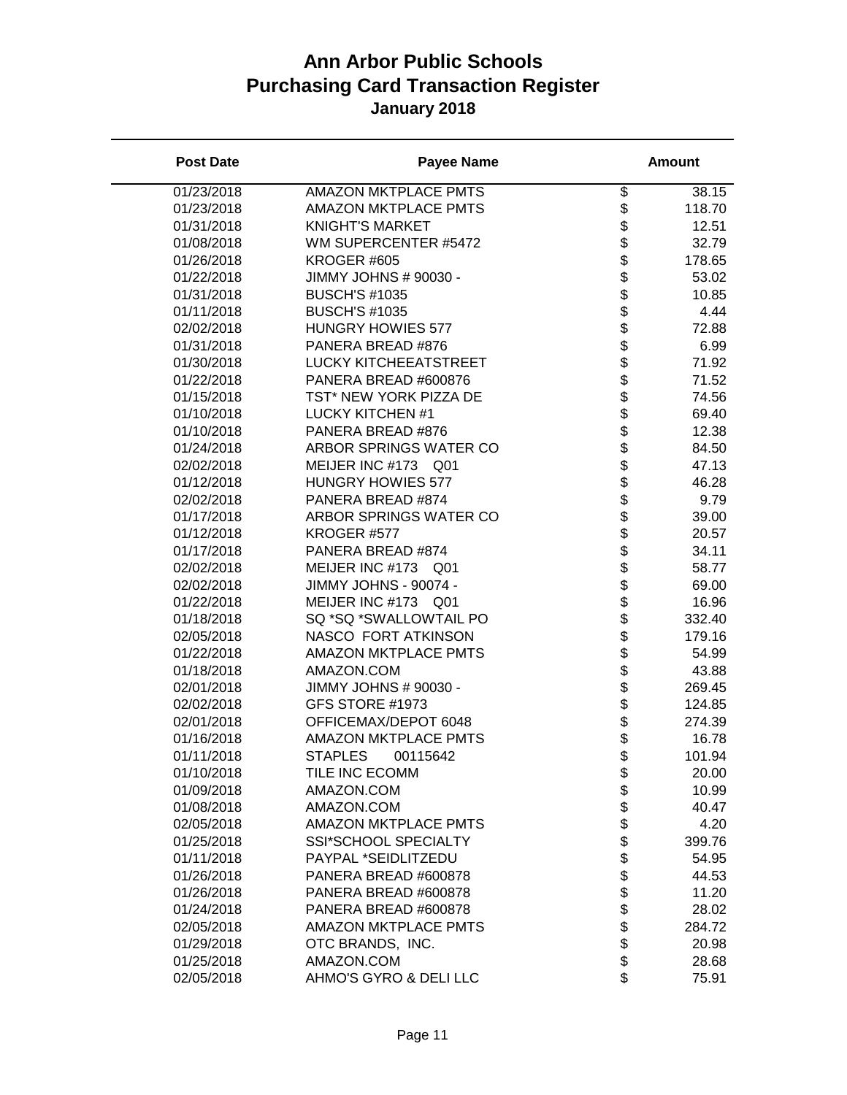| <b>Post Date</b> | <b>Payee Name</b>                            |                                    | <b>Amount</b>  |
|------------------|----------------------------------------------|------------------------------------|----------------|
| 01/23/2018       | <b>AMAZON MKTPLACE PMTS</b>                  | \$                                 | 38.15          |
| 01/23/2018       | <b>AMAZON MKTPLACE PMTS</b>                  | \$                                 | 118.70         |
| 01/31/2018       | <b>KNIGHT'S MARKET</b>                       | \$                                 | 12.51          |
| 01/08/2018       | WM SUPERCENTER #5472                         | \$                                 | 32.79          |
| 01/26/2018       | KROGER #605                                  |                                    | 178.65         |
| 01/22/2018       | JIMMY JOHNS # 90030 -                        |                                    | 53.02          |
| 01/31/2018       | <b>BUSCH'S #1035</b>                         |                                    | 10.85          |
| 01/11/2018       | <b>BUSCH'S #1035</b>                         |                                    | 4.44           |
| 02/02/2018       | <b>HUNGRY HOWIES 577</b>                     |                                    | 72.88          |
| 01/31/2018       | PANERA BREAD #876                            |                                    | 6.99           |
| 01/30/2018       | <b>LUCKY KITCHEEATSTREET</b>                 |                                    | 71.92          |
| 01/22/2018       | PANERA BREAD #600876                         |                                    | 71.52          |
| 01/15/2018       | TST* NEW YORK PIZZA DE                       |                                    | 74.56          |
| 01/10/2018       | <b>LUCKY KITCHEN #1</b>                      |                                    | 69.40          |
| 01/10/2018       | PANERA BREAD #876                            |                                    | 12.38          |
| 01/24/2018       | ARBOR SPRINGS WATER CO                       |                                    | 84.50          |
| 02/02/2018       | MEIJER INC #173 Q01                          |                                    | 47.13          |
| 01/12/2018       | <b>HUNGRY HOWIES 577</b>                     | \$                                 | 46.28          |
| 02/02/2018       | PANERA BREAD #874                            |                                    | 9.79           |
| 01/17/2018       | ARBOR SPRINGS WATER CO                       |                                    | 39.00          |
| 01/12/2018       | KROGER #577                                  |                                    | 20.57          |
| 01/17/2018       | PANERA BREAD #874                            | \$\$\$\$\$\$\$\$\$\$\$\$\$\$\$\$\$ | 34.11          |
| 02/02/2018       | MEIJER INC #173 Q01                          |                                    | 58.77          |
| 02/02/2018       | JIMMY JOHNS - 90074 -                        |                                    | 69.00          |
| 01/22/2018       | MEIJER INC #173 Q01                          |                                    | 16.96          |
| 01/18/2018       | SQ *SQ *SWALLOWTAIL PO                       |                                    | 332.40         |
| 02/05/2018       | NASCO FORT ATKINSON                          |                                    | 179.16         |
| 01/22/2018       | <b>AMAZON MKTPLACE PMTS</b>                  |                                    | 54.99          |
| 01/18/2018       | AMAZON.COM                                   |                                    | 43.88          |
| 02/01/2018       | JIMMY JOHNS # 90030 -                        |                                    | 269.45         |
| 02/02/2018       | GFS STORE #1973                              |                                    | 124.85         |
| 02/01/2018       | OFFICEMAX/DEPOT 6048                         |                                    | 274.39         |
| 01/16/2018       | AMAZON MKTPLACE PMTS                         |                                    | 16.78          |
| 01/11/2018       | <b>STAPLES</b><br>00115642                   | \$                                 | 101.94         |
| 01/10/2018       | TILE INC ECOMM                               | \$                                 | 20.00          |
| 01/09/2018       | AMAZON.COM                                   | \$                                 | 10.99          |
| 01/08/2018       | AMAZON.COM                                   |                                    | 40.47          |
| 02/05/2018       | <b>AMAZON MKTPLACE PMTS</b>                  |                                    | 4.20           |
| 01/25/2018       | <b>SSI*SCHOOL SPECIALTY</b>                  |                                    |                |
| 01/11/2018       | PAYPAL *SEIDLITZEDU                          |                                    | 399.76         |
| 01/26/2018       | PANERA BREAD #600878                         |                                    | 54.95<br>44.53 |
| 01/26/2018       |                                              |                                    |                |
|                  | PANERA BREAD #600878<br>PANERA BREAD #600878 | <b>888888888</b>                   | 11.20          |
| 01/24/2018       |                                              |                                    | 28.02          |
| 02/05/2018       | <b>AMAZON MKTPLACE PMTS</b>                  |                                    | 284.72         |
| 01/29/2018       | OTC BRANDS, INC.                             |                                    | 20.98          |
| 01/25/2018       | AMAZON.COM                                   | \$                                 | 28.68          |
| 02/05/2018       | AHMO'S GYRO & DELI LLC                       |                                    | 75.91          |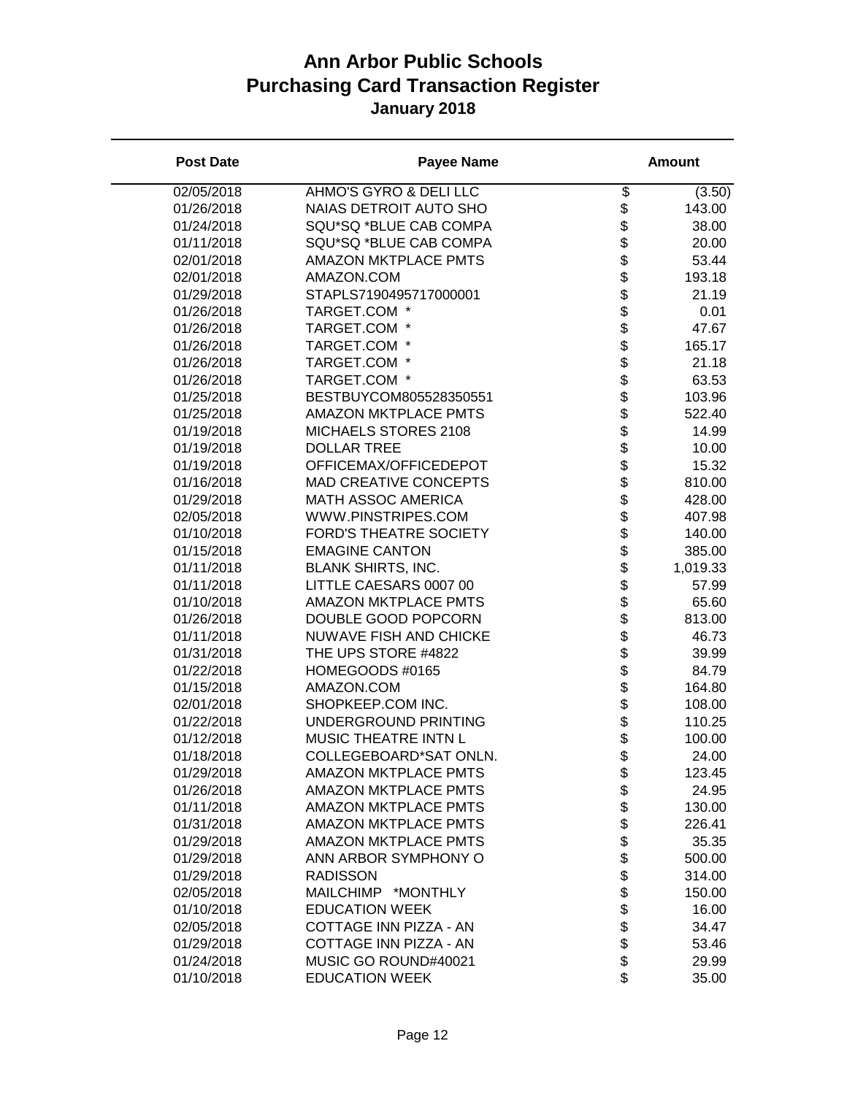| <b>Post Date</b> | <b>Payee Name</b>             |                          | <b>Amount</b> |
|------------------|-------------------------------|--------------------------|---------------|
| 02/05/2018       | AHMO'S GYRO & DELI LLC        | $\overline{\mathcal{G}}$ | (3.50)        |
| 01/26/2018       | NAIAS DETROIT AUTO SHO        | \$                       | 143.00        |
| 01/24/2018       | SQU*SQ *BLUE CAB COMPA        | \$                       | 38.00         |
| 01/11/2018       | SQU*SQ *BLUE CAB COMPA        | \$                       | 20.00         |
| 02/01/2018       | <b>AMAZON MKTPLACE PMTS</b>   | \$                       | 53.44         |
| 02/01/2018       | AMAZON.COM                    | \$                       | 193.18        |
| 01/29/2018       | STAPLS7190495717000001        |                          | 21.19         |
| 01/26/2018       | TARGET.COM *                  | \$<br>\$                 | 0.01          |
| 01/26/2018       | TARGET.COM *                  |                          | 47.67         |
| 01/26/2018       | TARGET.COM *                  |                          | 165.17        |
| 01/26/2018       | TARGET.COM *                  |                          | 21.18         |
| 01/26/2018       | TARGET.COM *                  |                          | 63.53         |
| 01/25/2018       | BESTBUYCOM805528350551        |                          | 103.96        |
| 01/25/2018       | <b>AMAZON MKTPLACE PMTS</b>   |                          | 522.40        |
| 01/19/2018       | MICHAELS STORES 2108          |                          | 14.99         |
| 01/19/2018       | <b>DOLLAR TREE</b>            |                          | 10.00         |
| 01/19/2018       | OFFICEMAX/OFFICEDEPOT         | <b>おおまままままま</b>          | 15.32         |
| 01/16/2018       | <b>MAD CREATIVE CONCEPTS</b>  |                          | 810.00        |
| 01/29/2018       | MATH ASSOC AMERICA            | \$                       | 428.00        |
| 02/05/2018       | WWW.PINSTRIPES.COM            | \$                       | 407.98        |
| 01/10/2018       | <b>FORD'S THEATRE SOCIETY</b> | \$                       | 140.00        |
| 01/15/2018       | <b>EMAGINE CANTON</b>         | \$                       | 385.00        |
| 01/11/2018       | <b>BLANK SHIRTS, INC.</b>     |                          | 1,019.33      |
| 01/11/2018       | LITTLE CAESARS 0007 00        | <b>888888888</b>         | 57.99         |
| 01/10/2018       | <b>AMAZON MKTPLACE PMTS</b>   |                          | 65.60         |
| 01/26/2018       | DOUBLE GOOD POPCORN           |                          | 813.00        |
| 01/11/2018       | NUWAVE FISH AND CHICKE        |                          | 46.73         |
| 01/31/2018       | THE UPS STORE #4822           |                          | 39.99         |
| 01/22/2018       | HOMEGOODS #0165               |                          | 84.79         |
| 01/15/2018       | AMAZON.COM                    |                          | 164.80        |
| 02/01/2018       | SHOPKEEP.COM INC.             |                          | 108.00        |
| 01/22/2018       | UNDERGROUND PRINTING          |                          | 110.25        |
| 01/12/2018       | MUSIC THEATRE INTN L          | \$                       | 100.00        |
| 01/18/2018       | COLLEGEBOARD*SAT ONLN.        | \$                       | 24.00         |
| 01/29/2018       | <b>AMAZON MKTPLACE PMTS</b>   | \$                       | 123.45        |
| 01/26/2018       | <b>AMAZON MKTPLACE PMTS</b>   | \$                       | 24.95         |
| 01/11/2018       | <b>AMAZON MKTPLACE PMTS</b>   | \$                       | 130.00        |
| 01/31/2018       | <b>AMAZON MKTPLACE PMTS</b>   | \$                       | 226.41        |
| 01/29/2018       | <b>AMAZON MKTPLACE PMTS</b>   |                          | 35.35         |
| 01/29/2018       | ANN ARBOR SYMPHONY O          |                          | 500.00        |
| 01/29/2018       | <b>RADISSON</b>               |                          | 314.00        |
| 02/05/2018       | MAILCHIMP *MONTHLY            |                          | 150.00        |
| 01/10/2018       | <b>EDUCATION WEEK</b>         | <b>8888888</b>           | 16.00         |
| 02/05/2018       | COTTAGE INN PIZZA - AN        |                          | 34.47         |
| 01/29/2018       | COTTAGE INN PIZZA - AN        |                          | 53.46         |
| 01/24/2018       | MUSIC GO ROUND#40021          |                          | 29.99         |
| 01/10/2018       | <b>EDUCATION WEEK</b>         | \$                       | 35.00         |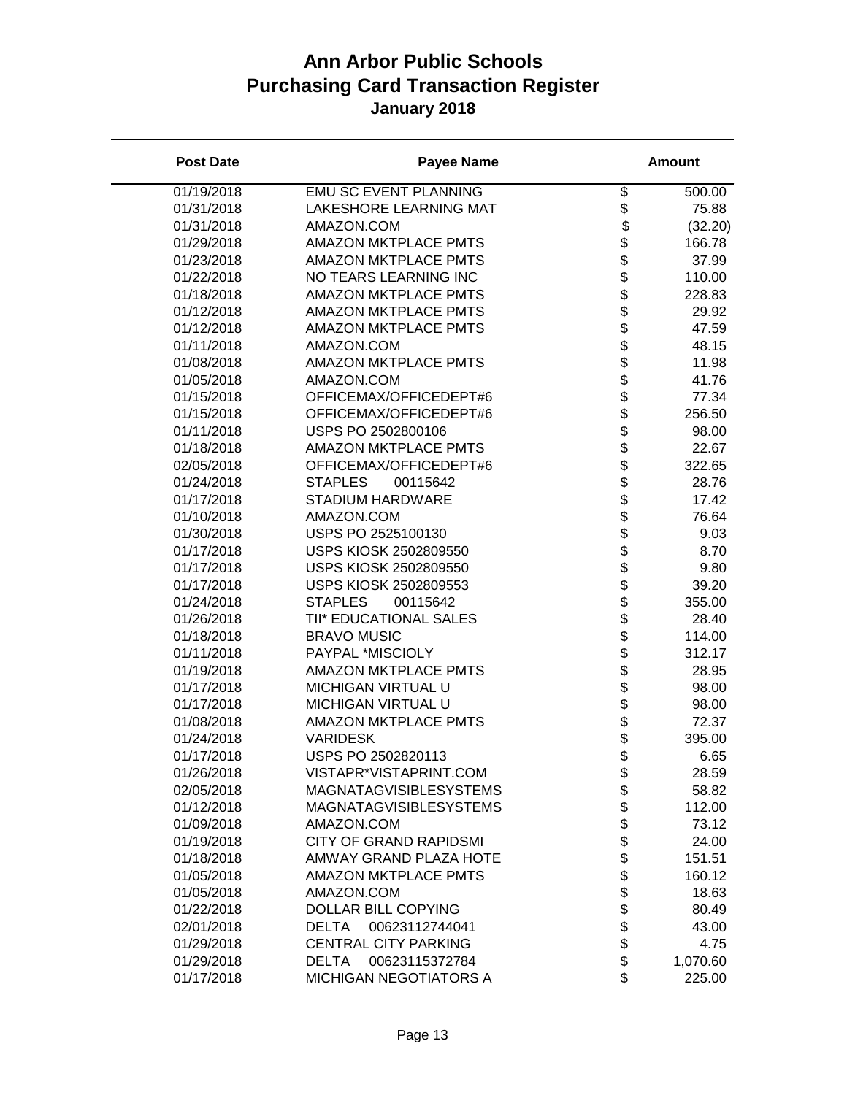| <b>Post Date</b> | <b>Payee Name</b>              |                | <b>Amount</b> |
|------------------|--------------------------------|----------------|---------------|
| 01/19/2018       | <b>EMU SC EVENT PLANNING</b>   | \$             | 500.00        |
| 01/31/2018       | LAKESHORE LEARNING MAT         | \$             | 75.88         |
| 01/31/2018       | AMAZON.COM                     | \$             | (32.20)       |
| 01/29/2018       | <b>AMAZON MKTPLACE PMTS</b>    | \$             | 166.78        |
| 01/23/2018       | <b>AMAZON MKTPLACE PMTS</b>    | \$             | 37.99         |
| 01/22/2018       | NO TEARS LEARNING INC          | \$             | 110.00        |
| 01/18/2018       | <b>AMAZON MKTPLACE PMTS</b>    |                | 228.83        |
| 01/12/2018       | <b>AMAZON MKTPLACE PMTS</b>    | \$<br>\$       | 29.92         |
| 01/12/2018       | <b>AMAZON MKTPLACE PMTS</b>    |                | 47.59         |
| 01/11/2018       | AMAZON.COM                     |                | 48.15         |
| 01/08/2018       | <b>AMAZON MKTPLACE PMTS</b>    |                | 11.98         |
| 01/05/2018       | AMAZON.COM                     |                | 41.76         |
| 01/15/2018       | OFFICEMAX/OFFICEDEPT#6         |                | 77.34         |
| 01/15/2018       | OFFICEMAX/OFFICEDEPT#6         |                | 256.50        |
| 01/11/2018       | USPS PO 2502800106             | <b>8888888</b> | 98.00         |
| 01/18/2018       | <b>AMAZON MKTPLACE PMTS</b>    |                | 22.67         |
| 02/05/2018       | OFFICEMAX/OFFICEDEPT#6         | \$<br>\$       | 322.65        |
| 01/24/2018       | <b>STAPLES</b><br>00115642     |                | 28.76         |
| 01/17/2018       | <b>STADIUM HARDWARE</b>        | \$             | 17.42         |
| 01/10/2018       | AMAZON.COM                     | \$             | 76.64         |
| 01/30/2018       | USPS PO 2525100130             | \$             | 9.03          |
| 01/17/2018       | USPS KIOSK 2502809550          |                | 8.70          |
| 01/17/2018       | USPS KIOSK 2502809550          | \$<br>\$       | 9.80          |
| 01/17/2018       | USPS KIOSK 2502809553          |                | 39.20         |
| 01/24/2018       | 00115642<br><b>STAPLES</b>     | <b>8888888</b> | 355.00        |
| 01/26/2018       | TII* EDUCATIONAL SALES         |                | 28.40         |
| 01/18/2018       | <b>BRAVO MUSIC</b>             |                | 114.00        |
| 01/11/2018       | PAYPAL *MISCIOLY               |                | 312.17        |
| 01/19/2018       | <b>AMAZON MKTPLACE PMTS</b>    |                | 28.95         |
| 01/17/2018       | MICHIGAN VIRTUAL U             |                | 98.00         |
| 01/17/2018       | <b>MICHIGAN VIRTUAL U</b>      |                | 98.00         |
| 01/08/2018       | <b>AMAZON MKTPLACE PMTS</b>    |                | 72.37         |
| 01/24/2018       | <b>VARIDESK</b>                | \$             | 395.00        |
| 01/17/2018       | USPS PO 2502820113             | \$             | 6.65          |
| 01/26/2018       | VISTAPR*VISTAPRINT.COM         | \$             | 28.59         |
| 02/05/2018       | <b>MAGNATAGVISIBLESYSTEMS</b>  | \$             | 58.82         |
| 01/12/2018       | <b>MAGNATAGVISIBLESYSTEMS</b>  | \$             | 112.00        |
| 01/09/2018       | AMAZON.COM                     | \$             | 73.12         |
| 01/19/2018       | <b>CITY OF GRAND RAPIDSMI</b>  | \$             | 24.00         |
| 01/18/2018       | AMWAY GRAND PLAZA HOTE         |                | 151.51        |
| 01/05/2018       | <b>AMAZON MKTPLACE PMTS</b>    |                | 160.12        |
| 01/05/2018       | AMAZON.COM                     | \$\$\$\$\$\$   | 18.63         |
| 01/22/2018       | <b>DOLLAR BILL COPYING</b>     |                | 80.49         |
| 02/01/2018       | <b>DELTA</b><br>00623112744041 |                | 43.00         |
| 01/29/2018       | <b>CENTRAL CITY PARKING</b>    |                | 4.75          |
| 01/29/2018       | <b>DELTA</b><br>00623115372784 | \$             | 1,070.60      |
| 01/17/2018       | MICHIGAN NEGOTIATORS A         | \$             | 225.00        |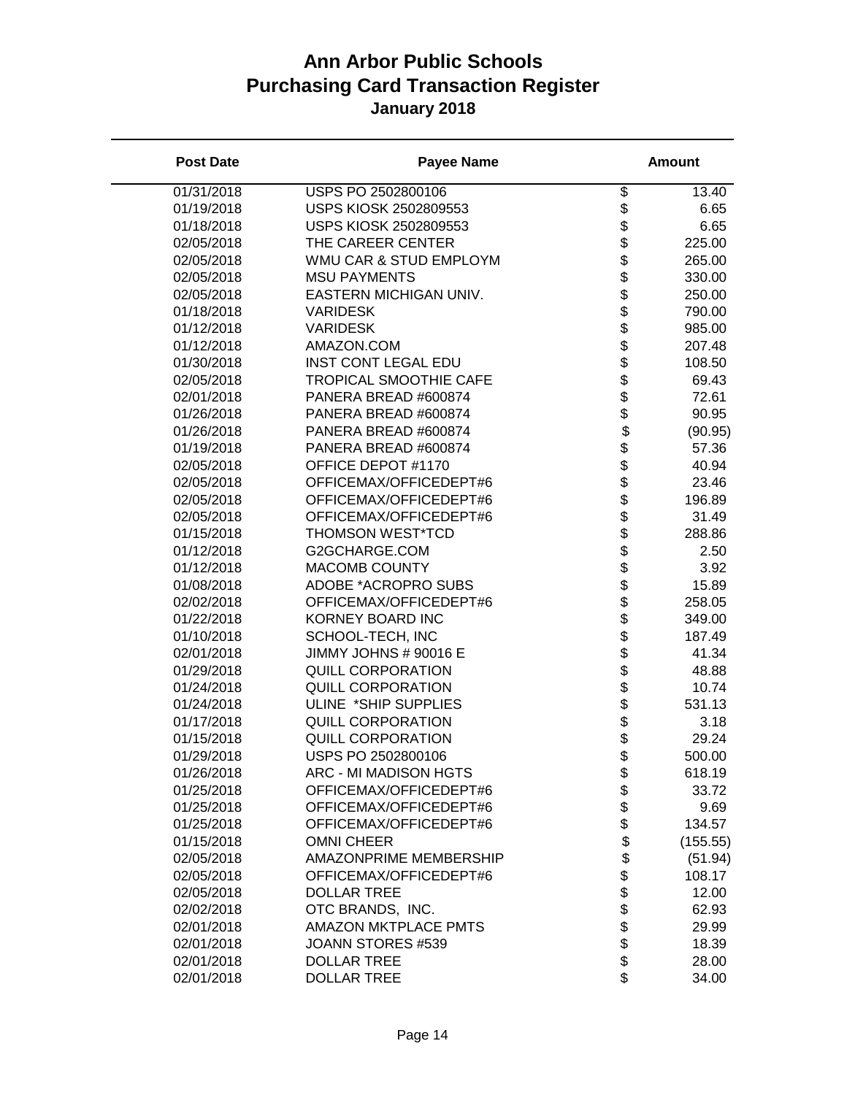| <b>Post Date</b> | <b>Payee Name</b>             |                              | <b>Amount</b> |
|------------------|-------------------------------|------------------------------|---------------|
| 01/31/2018       | USPS PO 2502800106            | \$                           | 13.40         |
| 01/19/2018       | USPS KIOSK 2502809553         | \$                           | 6.65          |
| 01/18/2018       | USPS KIOSK 2502809553         | \$                           | 6.65          |
| 02/05/2018       | THE CAREER CENTER             | \$                           | 225.00        |
| 02/05/2018       | WMU CAR & STUD EMPLOYM        | \$                           | 265.00        |
| 02/05/2018       | <b>MSU PAYMENTS</b>           | \$                           | 330.00        |
| 02/05/2018       | EASTERN MICHIGAN UNIV.        | \$\$\$\$\$\$\$\$\$\$\$\$\$\$ | 250.00        |
| 01/18/2018       | <b>VARIDESK</b>               |                              | 790.00        |
| 01/12/2018       | <b>VARIDESK</b>               |                              | 985.00        |
| 01/12/2018       | AMAZON.COM                    |                              | 207.48        |
| 01/30/2018       | <b>INST CONT LEGAL EDU</b>    |                              | 108.50        |
| 02/05/2018       | <b>TROPICAL SMOOTHIE CAFE</b> |                              | 69.43         |
| 02/01/2018       | PANERA BREAD #600874          |                              | 72.61         |
| 01/26/2018       | PANERA BREAD #600874          |                              | 90.95         |
| 01/26/2018       | PANERA BREAD #600874          |                              | (90.95)       |
| 01/19/2018       | PANERA BREAD #600874          |                              | 57.36         |
| 02/05/2018       | OFFICE DEPOT #1170            |                              | 40.94         |
| 02/05/2018       | OFFICEMAX/OFFICEDEPT#6        |                              | 23.46         |
| 02/05/2018       | OFFICEMAX/OFFICEDEPT#6        | \$                           | 196.89        |
| 02/05/2018       | OFFICEMAX/OFFICEDEPT#6        | \$                           | 31.49         |
| 01/15/2018       | <b>THOMSON WEST*TCD</b>       |                              | 288.86        |
| 01/12/2018       | G2GCHARGE.COM                 |                              | 2.50          |
| 01/12/2018       | <b>MACOMB COUNTY</b>          | <b>88888888888</b>           | 3.92          |
| 01/08/2018       | ADOBE *ACROPRO SUBS           |                              | 15.89         |
| 02/02/2018       | OFFICEMAX/OFFICEDEPT#6        |                              | 258.05        |
| 01/22/2018       | KORNEY BOARD INC              |                              | 349.00        |
| 01/10/2018       | SCHOOL-TECH, INC              |                              | 187.49        |
| 02/01/2018       | JIMMY JOHNS # 90016 E         |                              | 41.34         |
| 01/29/2018       | <b>QUILL CORPORATION</b>      |                              | 48.88         |
| 01/24/2018       | <b>QUILL CORPORATION</b>      |                              | 10.74         |
| 01/24/2018       | ULINE *SHIP SUPPLIES          |                              | 531.13        |
| 01/17/2018       | <b>QUILL CORPORATION</b>      |                              | 3.18          |
| 01/15/2018       | <b>QUILL CORPORATION</b>      | \$                           | 29.24         |
| 01/29/2018       | USPS PO 2502800106            | \$                           | 500.00        |
| 01/26/2018       | ARC - MI MADISON HGTS         | \$                           | 618.19        |
| 01/25/2018       | OFFICEMAX/OFFICEDEPT#6        | \$                           | 33.72         |
| 01/25/2018       | OFFICEMAX/OFFICEDEPT#6        | \$                           | 9.69          |
| 01/25/2018       | OFFICEMAX/OFFICEDEPT#6        | \$                           | 134.57        |
| 01/15/2018       | <b>OMNI CHEER</b>             | \$                           | (155.55)      |
| 02/05/2018       | AMAZONPRIME MEMBERSHIP        |                              | (51.94)       |
| 02/05/2018       | OFFICEMAX/OFFICEDEPT#6        |                              | 108.17        |
| 02/05/2018       | <b>DOLLAR TREE</b>            |                              | 12.00         |
| 02/02/2018       | OTC BRANDS, INC.              | \$\$\$\$\$\$\$\$             | 62.93         |
| 02/01/2018       | <b>AMAZON MKTPLACE PMTS</b>   |                              | 29.99         |
| 02/01/2018       | JOANN STORES #539             |                              | 18.39         |
| 02/01/2018       | <b>DOLLAR TREE</b>            |                              | 28.00         |
| 02/01/2018       | <b>DOLLAR TREE</b>            | \$                           | 34.00         |